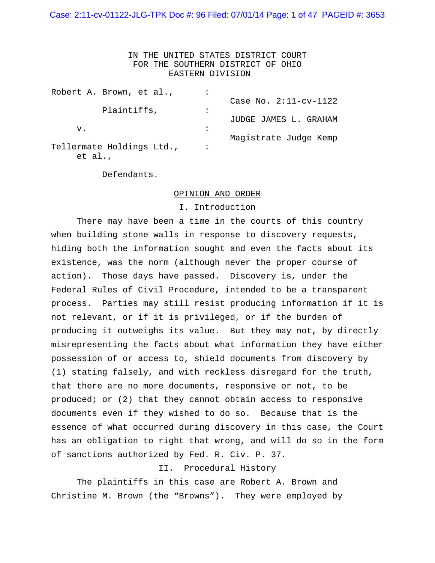IN THE UNITED STATES DISTRICT COURT FOR THE SOUTHERN DISTRICT OF OHIO EASTERN DIVISION

| Robert A. Brown, et al.,             |                         |
|--------------------------------------|-------------------------|
|                                      | Case No. $2:11-cv-1122$ |
| Plaintiffs,                          |                         |
|                                      | JUDGE JAMES L. GRAHAM   |
| v.                                   |                         |
|                                      | Magistrate Judge Kemp   |
| Tellermate Holdings Ltd.,<br>et al., |                         |

Defendants.

#### OPINION AND ORDER

#### I. Introduction

There may have been a time in the courts of this country when building stone walls in response to discovery requests, hiding both the information sought and even the facts about its existence, was the norm (although never the proper course of action). Those days have passed. Discovery is, under the Federal Rules of Civil Procedure, intended to be a transparent process. Parties may still resist producing information if it is not relevant, or if it is privileged, or if the burden of producing it outweighs its value. But they may not, by directly misrepresenting the facts about what information they have either possession of or access to, shield documents from discovery by (1) stating falsely, and with reckless disregard for the truth, that there are no more documents, responsive or not, to be produced; or (2) that they cannot obtain access to responsive documents even if they wished to do so. Because that is the essence of what occurred during discovery in this case, the Court has an obligation to right that wrong, and will do so in the form of sanctions authorized by Fed. R. Civ. P. 37.

## II. Procedural History

The plaintiffs in this case are Robert A. Brown and Christine M. Brown (the "Browns"). They were employed by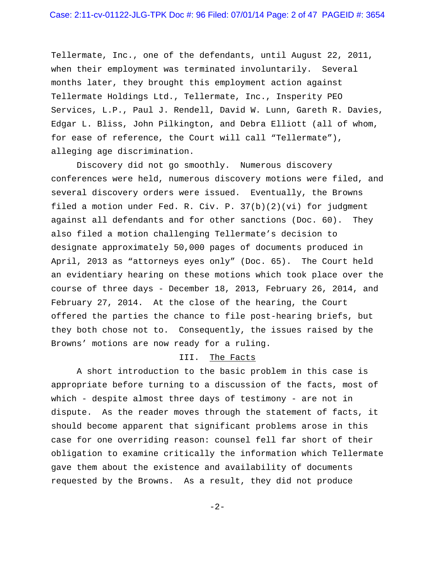Case: 2:11-cv-01122-JLG-TPK Doc #: 96 Filed: 07/01/14 Page: 2 of 47 PAGEID #: 3654

Tellermate, Inc., one of the defendants, until August 22, 2011, when their employment was terminated involuntarily. Several months later, they brought this employment action against Tellermate Holdings Ltd., Tellermate, Inc., Insperity PEO Services, L.P., Paul J. Rendell, David W. Lunn, Gareth R. Davies, Edgar L. Bliss, John Pilkington, and Debra Elliott (all of whom, for ease of reference, the Court will call "Tellermate"), alleging age discrimination.

Discovery did not go smoothly. Numerous discovery conferences were held, numerous discovery motions were filed, and several discovery orders were issued. Eventually, the Browns filed a motion under Fed. R. Civ. P.  $37(b)(2)(vi)$  for judgment against all defendants and for other sanctions (Doc. 60). They also filed a motion challenging Tellermate's decision to designate approximately 50,000 pages of documents produced in April, 2013 as "attorneys eyes only" (Doc. 65). The Court held an evidentiary hearing on these motions which took place over the course of three days - December 18, 2013, February 26, 2014, and February 27, 2014. At the close of the hearing, the Court offered the parties the chance to file post-hearing briefs, but they both chose not to. Consequently, the issues raised by the Browns' motions are now ready for a ruling.

### III. The Facts

A short introduction to the basic problem in this case is appropriate before turning to a discussion of the facts, most of which - despite almost three days of testimony - are not in dispute. As the reader moves through the statement of facts, it should become apparent that significant problems arose in this case for one overriding reason: counsel fell far short of their obligation to examine critically the information which Tellermate gave them about the existence and availability of documents requested by the Browns. As a result, they did not produce

-2-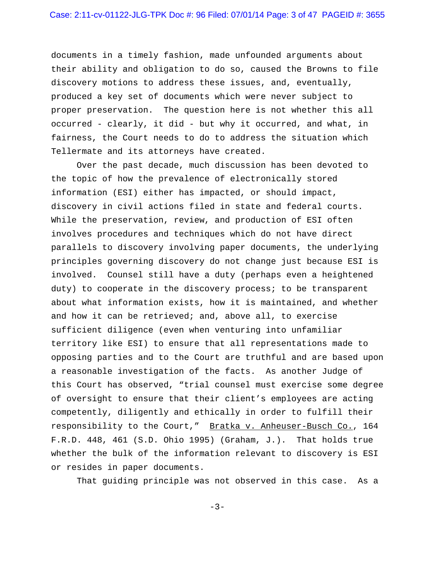documents in a timely fashion, made unfounded arguments about their ability and obligation to do so, caused the Browns to file discovery motions to address these issues, and, eventually, produced a key set of documents which were never subject to proper preservation. The question here is not whether this all occurred - clearly, it did - but why it occurred, and what, in fairness, the Court needs to do to address the situation which Tellermate and its attorneys have created.

Over the past decade, much discussion has been devoted to the topic of how the prevalence of electronically stored information (ESI) either has impacted, or should impact, discovery in civil actions filed in state and federal courts. While the preservation, review, and production of ESI often involves procedures and techniques which do not have direct parallels to discovery involving paper documents, the underlying principles governing discovery do not change just because ESI is involved. Counsel still have a duty (perhaps even a heightened duty) to cooperate in the discovery process; to be transparent about what information exists, how it is maintained, and whether and how it can be retrieved; and, above all, to exercise sufficient diligence (even when venturing into unfamiliar territory like ESI) to ensure that all representations made to opposing parties and to the Court are truthful and are based upon a reasonable investigation of the facts. As another Judge of this Court has observed, "trial counsel must exercise some degree of oversight to ensure that their client's employees are acting competently, diligently and ethically in order to fulfill their responsibility to the Court," Bratka v. Anheuser-Busch Co., 164 F.R.D. 448, 461 (S.D. Ohio 1995) (Graham, J.). That holds true whether the bulk of the information relevant to discovery is ESI or resides in paper documents.

That guiding principle was not observed in this case. As a

 $-3-$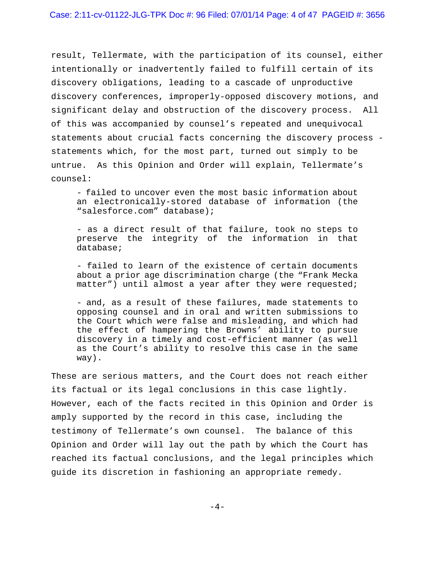result, Tellermate, with the participation of its counsel, either intentionally or inadvertently failed to fulfill certain of its discovery obligations, leading to a cascade of unproductive discovery conferences, improperly-opposed discovery motions, and significant delay and obstruction of the discovery process. All of this was accompanied by counsel's repeated and unequivocal statements about crucial facts concerning the discovery process statements which, for the most part, turned out simply to be untrue. As this Opinion and Order will explain, Tellermate's counsel:

- failed to uncover even the most basic information about an electronically-stored database of information (the "salesforce.com" database);

- as a direct result of that failure, took no steps to preserve the integrity of the information in that database;

- failed to learn of the existence of certain documents about a prior age discrimination charge (the "Frank Mecka matter") until almost a year after they were requested;

- and, as a result of these failures, made statements to opposing counsel and in oral and written submissions to the Court which were false and misleading, and which had the effect of hampering the Browns' ability to pursue discovery in a timely and cost-efficient manner (as well as the Court's ability to resolve this case in the same way).

These are serious matters, and the Court does not reach either its factual or its legal conclusions in this case lightly. However, each of the facts recited in this Opinion and Order is amply supported by the record in this case, including the testimony of Tellermate's own counsel. The balance of this Opinion and Order will lay out the path by which the Court has reached its factual conclusions, and the legal principles which guide its discretion in fashioning an appropriate remedy.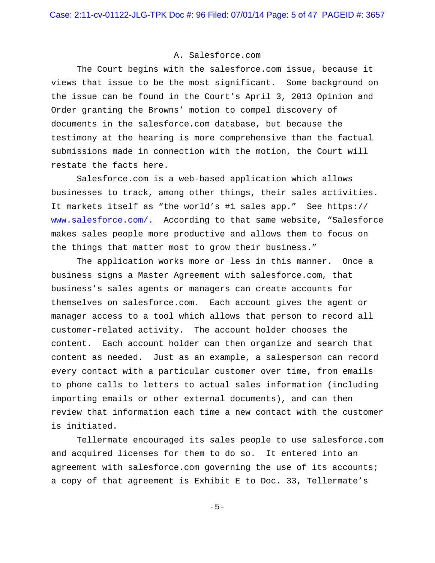## A. Salesforce.com

The Court begins with the salesforce.com issue, because it views that issue to be the most significant. Some background on the issue can be found in the Court's April 3, 2013 Opinion and Order granting the Browns' motion to compel discovery of documents in the salesforce.com database, but because the testimony at the hearing is more comprehensive than the factual submissions made in connection with the motion, the Court will restate the facts here.

Salesforce.com is a web-based application which allows businesses to track, among other things, their sales activities. It markets itself as "the world's #1 sales app." See https:// www.salesforce.com/. According to that same website, "Salesforce makes sales people more productive and allows them to focus on the things that matter most to grow their business."

The application works more or less in this manner. Once a business signs a Master Agreement with salesforce.com, that business's sales agents or managers can create accounts for themselves on salesforce.com. Each account gives the agent or manager access to a tool which allows that person to record all customer-related activity. The account holder chooses the content. Each account holder can then organize and search that content as needed. Just as an example, a salesperson can record every contact with a particular customer over time, from emails to phone calls to letters to actual sales information (including importing emails or other external documents), and can then review that information each time a new contact with the customer is initiated.

Tellermate encouraged its sales people to use salesforce.com and acquired licenses for them to do so. It entered into an agreement with salesforce.com governing the use of its accounts; a copy of that agreement is Exhibit E to Doc. 33, Tellermate's

-5-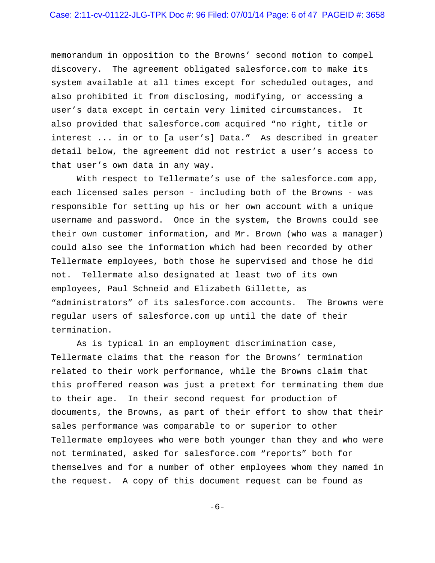memorandum in opposition to the Browns' second motion to compel discovery. The agreement obligated salesforce.com to make its system available at all times except for scheduled outages, and also prohibited it from disclosing, modifying, or accessing a user's data except in certain very limited circumstances. It also provided that salesforce.com acquired "no right, title or interest ... in or to [a user's] Data." As described in greater detail below, the agreement did not restrict a user's access to that user's own data in any way.

With respect to Tellermate's use of the salesforce.com app, each licensed sales person - including both of the Browns - was responsible for setting up his or her own account with a unique username and password. Once in the system, the Browns could see their own customer information, and Mr. Brown (who was a manager) could also see the information which had been recorded by other Tellermate employees, both those he supervised and those he did not. Tellermate also designated at least two of its own employees, Paul Schneid and Elizabeth Gillette, as "administrators" of its salesforce.com accounts. The Browns were regular users of salesforce.com up until the date of their termination.

As is typical in an employment discrimination case, Tellermate claims that the reason for the Browns' termination related to their work performance, while the Browns claim that this proffered reason was just a pretext for terminating them due to their age. In their second request for production of documents, the Browns, as part of their effort to show that their sales performance was comparable to or superior to other Tellermate employees who were both younger than they and who were not terminated, asked for salesforce.com "reports" both for themselves and for a number of other employees whom they named in the request. A copy of this document request can be found as

-6-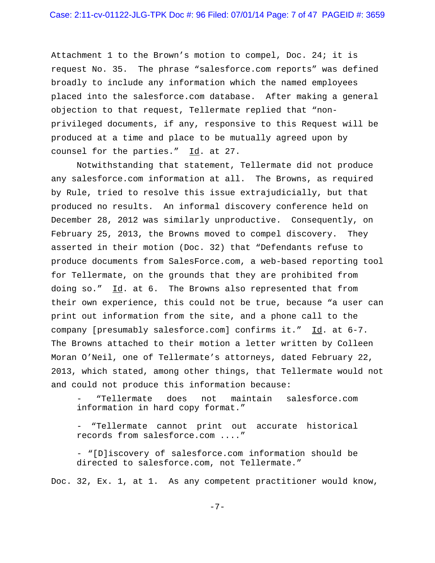Attachment 1 to the Brown's motion to compel, Doc. 24; it is request No. 35. The phrase "salesforce.com reports" was defined broadly to include any information which the named employees placed into the salesforce.com database. After making a general objection to that request, Tellermate replied that "nonprivileged documents, if any, responsive to this Request will be produced at a time and place to be mutually agreed upon by counsel for the parties." Id. at 27.

Notwithstanding that statement, Tellermate did not produce any salesforce.com information at all. The Browns, as required by Rule, tried to resolve this issue extrajudicially, but that produced no results. An informal discovery conference held on December 28, 2012 was similarly unproductive. Consequently, on February 25, 2013, the Browns moved to compel discovery. They asserted in their motion (Doc. 32) that "Defendants refuse to produce documents from SalesForce.com, a web-based reporting tool for Tellermate, on the grounds that they are prohibited from doing so." Id. at 6. The Browns also represented that from their own experience, this could not be true, because "a user can print out information from the site, and a phone call to the company [presumably salesforce.com] confirms it." Id. at 6-7. The Browns attached to their motion a letter written by Colleen Moran O'Neil, one of Tellermate's attorneys, dated February 22, 2013, which stated, among other things, that Tellermate would not and could not produce this information because:

"Tellermate does not maintain salesforce.com information in hard copy format."

- "Tellermate cannot print out accurate historical records from salesforce.com ...."

- "[D]iscovery of salesforce.com information should be directed to salesforce.com, not Tellermate."

Doc. 32, Ex. 1, at 1. As any competent practitioner would know,

-7-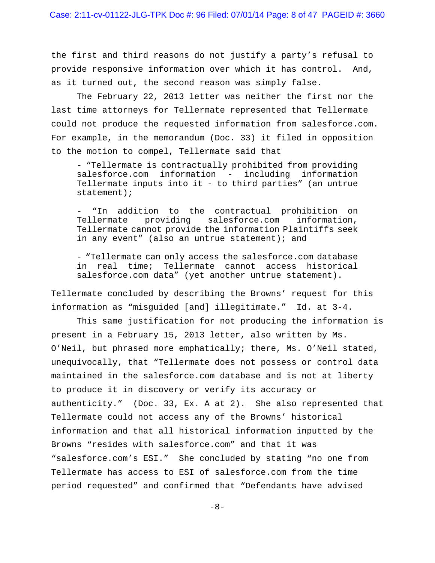the first and third reasons do not justify a party's refusal to provide responsive information over which it has control. And, as it turned out, the second reason was simply false.

The February 22, 2013 letter was neither the first nor the last time attorneys for Tellermate represented that Tellermate could not produce the requested information from salesforce.com. For example, in the memorandum (Doc. 33) it filed in opposition to the motion to compel, Tellermate said that

- "Tellermate is contractually prohibited from providing salesforce.com information - including information Tellermate inputs into it - to third parties" (an untrue statement);

- "In addition to the contractual prohibition on Tellermate providing salesforce.com information, Tellermate cannot provide the information Plaintiffs seek in any event" (also an untrue statement); and

- "Tellermate can only access the salesforce.com database in real time; Tellermate cannot access historical salesforce.com data" (yet another untrue statement).

Tellermate concluded by describing the Browns' request for this information as "misguided [and] illegitimate." Id. at 3-4.

This same justification for not producing the information is present in a February 15, 2013 letter, also written by Ms. O'Neil, but phrased more emphatically; there, Ms. O'Neil stated, unequivocally, that "Tellermate does not possess or control data maintained in the salesforce.com database and is not at liberty to produce it in discovery or verify its accuracy or authenticity." (Doc. 33, Ex. A at 2). She also represented that Tellermate could not access any of the Browns' historical information and that all historical information inputted by the Browns "resides with salesforce.com" and that it was "salesforce.com's ESI." She concluded by stating "no one from Tellermate has access to ESI of salesforce.com from the time period requested" and confirmed that "Defendants have advised

-8-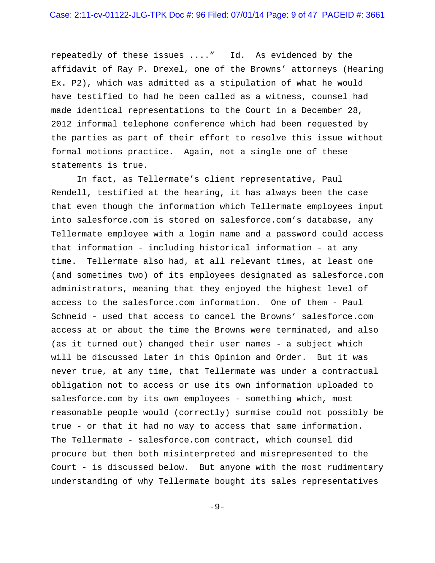repeatedly of these issues  $\dots$ ." Id. As evidenced by the affidavit of Ray P. Drexel, one of the Browns' attorneys (Hearing Ex. P2), which was admitted as a stipulation of what he would have testified to had he been called as a witness, counsel had made identical representations to the Court in a December 28, 2012 informal telephone conference which had been requested by the parties as part of their effort to resolve this issue without formal motions practice. Again, not a single one of these statements is true.

In fact, as Tellermate's client representative, Paul Rendell, testified at the hearing, it has always been the case that even though the information which Tellermate employees input into salesforce.com is stored on salesforce.com's database, any Tellermate employee with a login name and a password could access that information - including historical information - at any time. Tellermate also had, at all relevant times, at least one (and sometimes two) of its employees designated as salesforce.com administrators, meaning that they enjoyed the highest level of access to the salesforce.com information. One of them - Paul Schneid - used that access to cancel the Browns' salesforce.com access at or about the time the Browns were terminated, and also (as it turned out) changed their user names - a subject which will be discussed later in this Opinion and Order. But it was never true, at any time, that Tellermate was under a contractual obligation not to access or use its own information uploaded to salesforce.com by its own employees - something which, most reasonable people would (correctly) surmise could not possibly be true - or that it had no way to access that same information. The Tellermate - salesforce.com contract, which counsel did procure but then both misinterpreted and misrepresented to the Court - is discussed below. But anyone with the most rudimentary understanding of why Tellermate bought its sales representatives

-9-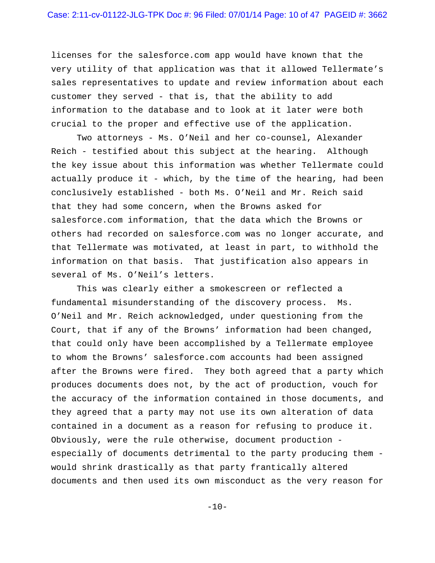licenses for the salesforce.com app would have known that the very utility of that application was that it allowed Tellermate's sales representatives to update and review information about each customer they served - that is, that the ability to add information to the database and to look at it later were both crucial to the proper and effective use of the application.

Two attorneys - Ms. O'Neil and her co-counsel, Alexander Reich - testified about this subject at the hearing. Although the key issue about this information was whether Tellermate could actually produce it - which, by the time of the hearing, had been conclusively established - both Ms. O'Neil and Mr. Reich said that they had some concern, when the Browns asked for salesforce.com information, that the data which the Browns or others had recorded on salesforce.com was no longer accurate, and that Tellermate was motivated, at least in part, to withhold the information on that basis. That justification also appears in several of Ms. O'Neil's letters.

This was clearly either a smokescreen or reflected a fundamental misunderstanding of the discovery process. Ms. O'Neil and Mr. Reich acknowledged, under questioning from the Court, that if any of the Browns' information had been changed, that could only have been accomplished by a Tellermate employee to whom the Browns' salesforce.com accounts had been assigned after the Browns were fired. They both agreed that a party which produces documents does not, by the act of production, vouch for the accuracy of the information contained in those documents, and they agreed that a party may not use its own alteration of data contained in a document as a reason for refusing to produce it. Obviously, were the rule otherwise, document production especially of documents detrimental to the party producing them would shrink drastically as that party frantically altered documents and then used its own misconduct as the very reason for

 $-10-$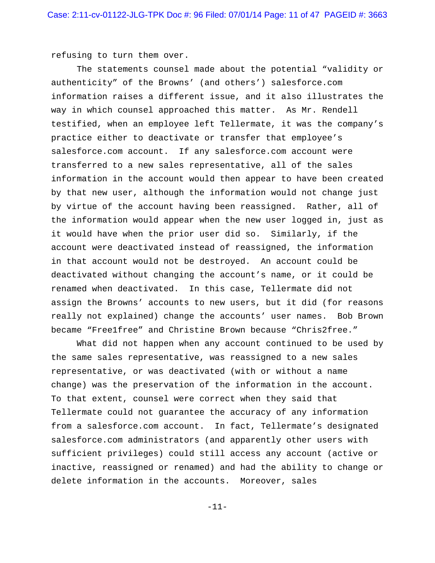refusing to turn them over.

The statements counsel made about the potential "validity or authenticity" of the Browns' (and others') salesforce.com information raises a different issue, and it also illustrates the way in which counsel approached this matter. As Mr. Rendell testified, when an employee left Tellermate, it was the company's practice either to deactivate or transfer that employee's salesforce.com account. If any salesforce.com account were transferred to a new sales representative, all of the sales information in the account would then appear to have been created by that new user, although the information would not change just by virtue of the account having been reassigned. Rather, all of the information would appear when the new user logged in, just as it would have when the prior user did so. Similarly, if the account were deactivated instead of reassigned, the information in that account would not be destroyed. An account could be deactivated without changing the account's name, or it could be renamed when deactivated. In this case, Tellermate did not assign the Browns' accounts to new users, but it did (for reasons really not explained) change the accounts' user names. Bob Brown became "Free1free" and Christine Brown because "Chris2free."

What did not happen when any account continued to be used by the same sales representative, was reassigned to a new sales representative, or was deactivated (with or without a name change) was the preservation of the information in the account. To that extent, counsel were correct when they said that Tellermate could not guarantee the accuracy of any information from a salesforce.com account. In fact, Tellermate's designated salesforce.com administrators (and apparently other users with sufficient privileges) could still access any account (active or inactive, reassigned or renamed) and had the ability to change or delete information in the accounts. Moreover, sales

-11-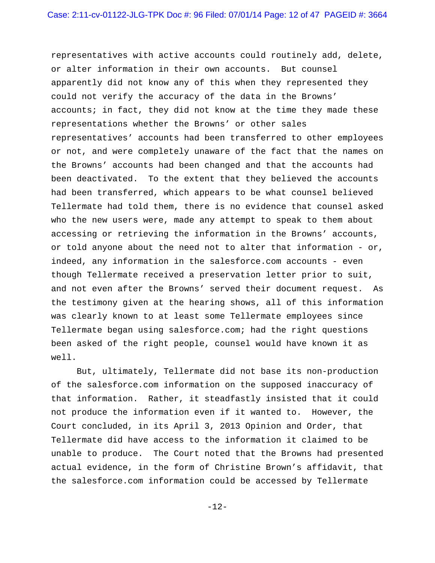representatives with active accounts could routinely add, delete, or alter information in their own accounts. But counsel apparently did not know any of this when they represented they could not verify the accuracy of the data in the Browns' accounts; in fact, they did not know at the time they made these representations whether the Browns' or other sales representatives' accounts had been transferred to other employees or not, and were completely unaware of the fact that the names on the Browns' accounts had been changed and that the accounts had been deactivated. To the extent that they believed the accounts had been transferred, which appears to be what counsel believed Tellermate had told them, there is no evidence that counsel asked who the new users were, made any attempt to speak to them about accessing or retrieving the information in the Browns' accounts, or told anyone about the need not to alter that information -  $or$ , indeed, any information in the salesforce.com accounts - even though Tellermate received a preservation letter prior to suit, and not even after the Browns' served their document request. As the testimony given at the hearing shows, all of this information was clearly known to at least some Tellermate employees since Tellermate began using salesforce.com; had the right questions been asked of the right people, counsel would have known it as well.

But, ultimately, Tellermate did not base its non-production of the salesforce.com information on the supposed inaccuracy of that information. Rather, it steadfastly insisted that it could not produce the information even if it wanted to. However, the Court concluded, in its April 3, 2013 Opinion and Order, that Tellermate did have access to the information it claimed to be unable to produce. The Court noted that the Browns had presented actual evidence, in the form of Christine Brown's affidavit, that the salesforce.com information could be accessed by Tellermate

-12-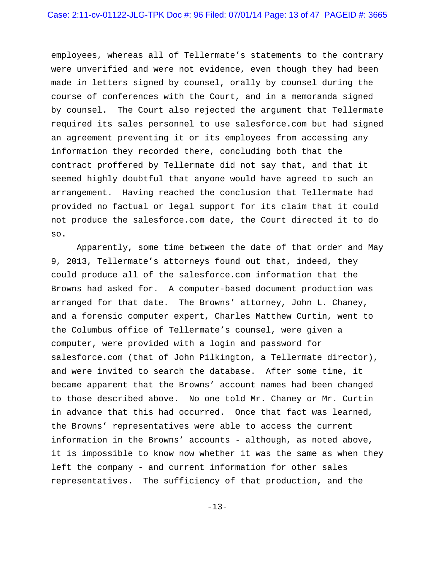employees, whereas all of Tellermate's statements to the contrary were unverified and were not evidence, even though they had been made in letters signed by counsel, orally by counsel during the course of conferences with the Court, and in a memoranda signed by counsel. The Court also rejected the argument that Tellermate required its sales personnel to use salesforce.com but had signed an agreement preventing it or its employees from accessing any information they recorded there, concluding both that the contract proffered by Tellermate did not say that, and that it seemed highly doubtful that anyone would have agreed to such an arrangement. Having reached the conclusion that Tellermate had provided no factual or legal support for its claim that it could not produce the salesforce.com date, the Court directed it to do so.

Apparently, some time between the date of that order and May 9, 2013, Tellermate's attorneys found out that, indeed, they could produce all of the salesforce.com information that the Browns had asked for. A computer-based document production was arranged for that date. The Browns' attorney, John L. Chaney, and a forensic computer expert, Charles Matthew Curtin, went to the Columbus office of Tellermate's counsel, were given a computer, were provided with a login and password for salesforce.com (that of John Pilkington, a Tellermate director), and were invited to search the database. After some time, it became apparent that the Browns' account names had been changed to those described above. No one told Mr. Chaney or Mr. Curtin in advance that this had occurred. Once that fact was learned, the Browns' representatives were able to access the current information in the Browns' accounts - although, as noted above, it is impossible to know now whether it was the same as when they left the company - and current information for other sales representatives. The sufficiency of that production, and the

-13-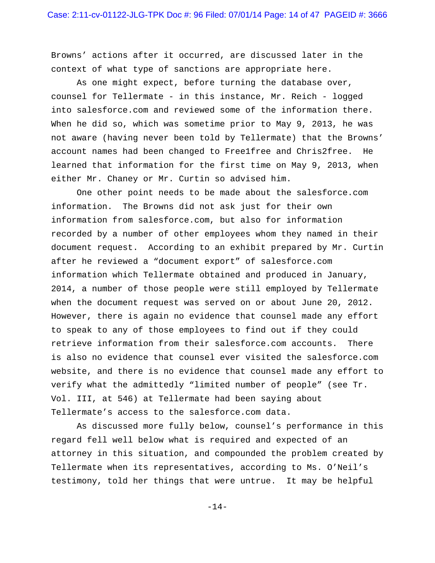Browns' actions after it occurred, are discussed later in the context of what type of sanctions are appropriate here.

As one might expect, before turning the database over, counsel for Tellermate - in this instance, Mr. Reich - logged into salesforce.com and reviewed some of the information there. When he did so, which was sometime prior to May 9, 2013, he was not aware (having never been told by Tellermate) that the Browns' account names had been changed to Free1free and Chris2free. He learned that information for the first time on May 9, 2013, when either Mr. Chaney or Mr. Curtin so advised him.

One other point needs to be made about the salesforce.com information. The Browns did not ask just for their own information from salesforce.com, but also for information recorded by a number of other employees whom they named in their document request. According to an exhibit prepared by Mr. Curtin after he reviewed a "document export" of salesforce.com information which Tellermate obtained and produced in January, 2014, a number of those people were still employed by Tellermate when the document request was served on or about June 20, 2012. However, there is again no evidence that counsel made any effort to speak to any of those employees to find out if they could retrieve information from their salesforce.com accounts. There is also no evidence that counsel ever visited the salesforce.com website, and there is no evidence that counsel made any effort to verify what the admittedly "limited number of people" (see Tr. Vol. III, at 546) at Tellermate had been saying about Tellermate's access to the salesforce.com data.

As discussed more fully below, counsel's performance in this regard fell well below what is required and expected of an attorney in this situation, and compounded the problem created by Tellermate when its representatives, according to Ms. O'Neil's testimony, told her things that were untrue. It may be helpful

-14-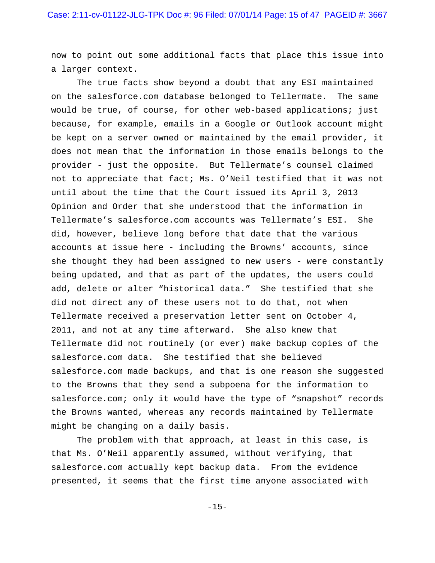now to point out some additional facts that place this issue into a larger context.

The true facts show beyond a doubt that any ESI maintained on the salesforce.com database belonged to Tellermate. The same would be true, of course, for other web-based applications; just because, for example, emails in a Google or Outlook account might be kept on a server owned or maintained by the email provider, it does not mean that the information in those emails belongs to the provider - just the opposite. But Tellermate's counsel claimed not to appreciate that fact; Ms. O'Neil testified that it was not until about the time that the Court issued its April 3, 2013 Opinion and Order that she understood that the information in Tellermate's salesforce.com accounts was Tellermate's ESI. She did, however, believe long before that date that the various accounts at issue here - including the Browns' accounts, since she thought they had been assigned to new users - were constantly being updated, and that as part of the updates, the users could add, delete or alter "historical data." She testified that she did not direct any of these users not to do that, not when Tellermate received a preservation letter sent on October 4, 2011, and not at any time afterward. She also knew that Tellermate did not routinely (or ever) make backup copies of the salesforce.com data. She testified that she believed salesforce.com made backups, and that is one reason she suggested to the Browns that they send a subpoena for the information to salesforce.com; only it would have the type of "snapshot" records the Browns wanted, whereas any records maintained by Tellermate might be changing on a daily basis.

The problem with that approach, at least in this case, is that Ms. O'Neil apparently assumed, without verifying, that salesforce.com actually kept backup data. From the evidence presented, it seems that the first time anyone associated with

-15-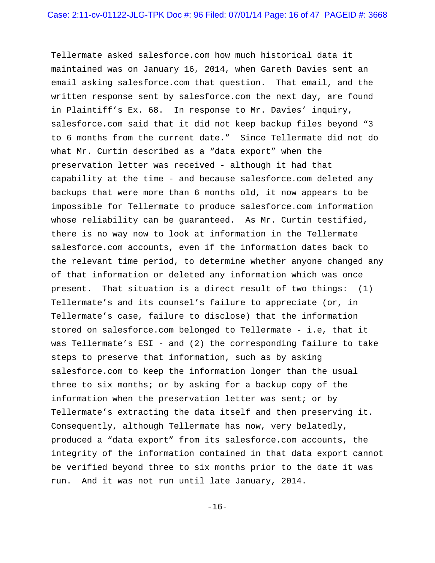Tellermate asked salesforce.com how much historical data it maintained was on January 16, 2014, when Gareth Davies sent an email asking salesforce.com that question. That email, and the written response sent by salesforce.com the next day, are found in Plaintiff's Ex. 68. In response to Mr. Davies' inquiry, salesforce.com said that it did not keep backup files beyond "3 to 6 months from the current date." Since Tellermate did not do what Mr. Curtin described as a "data export" when the preservation letter was received - although it had that capability at the time - and because salesforce.com deleted any backups that were more than 6 months old, it now appears to be impossible for Tellermate to produce salesforce.com information whose reliability can be guaranteed. As Mr. Curtin testified, there is no way now to look at information in the Tellermate salesforce.com accounts, even if the information dates back to the relevant time period, to determine whether anyone changed any of that information or deleted any information which was once present. That situation is a direct result of two things: (1) Tellermate's and its counsel's failure to appreciate (or, in Tellermate's case, failure to disclose) that the information stored on salesforce.com belonged to Tellermate - i.e, that it was Tellermate's ESI - and (2) the corresponding failure to take steps to preserve that information, such as by asking salesforce.com to keep the information longer than the usual three to six months; or by asking for a backup copy of the information when the preservation letter was sent; or by Tellermate's extracting the data itself and then preserving it. Consequently, although Tellermate has now, very belatedly, produced a "data export" from its salesforce.com accounts, the integrity of the information contained in that data export cannot be verified beyond three to six months prior to the date it was run. And it was not run until late January, 2014.

-16-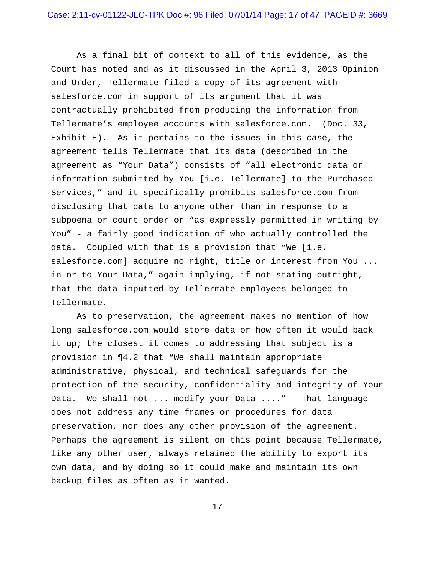As a final bit of context to all of this evidence, as the Court has noted and as it discussed in the April 3, 2013 Opinion and Order, Tellermate filed a copy of its agreement with salesforce.com in support of its argument that it was contractually prohibited from producing the information from Tellermate's employee accounts with salesforce.com. (Doc. 33, Exhibit E). As it pertains to the issues in this case, the agreement tells Tellermate that its data (described in the agreement as "Your Data") consists of "all electronic data or information submitted by You [i.e. Tellermate] to the Purchased Services," and it specifically prohibits salesforce.com from disclosing that data to anyone other than in response to a subpoena or court order or "as expressly permitted in writing by You" - a fairly good indication of who actually controlled the data. Coupled with that is a provision that "We [i.e. salesforce.com] acquire no right, title or interest from You ... in or to Your Data," again implying, if not stating outright, that the data inputted by Tellermate employees belonged to Tellermate.

As to preservation, the agreement makes no mention of how long salesforce.com would store data or how often it would back it up; the closest it comes to addressing that subject is a provision in ¶4.2 that "We shall maintain appropriate administrative, physical, and technical safeguards for the protection of the security, confidentiality and integrity of Your Data. We shall not ... modify your Data ...." That language does not address any time frames or procedures for data preservation, nor does any other provision of the agreement. Perhaps the agreement is silent on this point because Tellermate, like any other user, always retained the ability to export its own data, and by doing so it could make and maintain its own backup files as often as it wanted.

-17-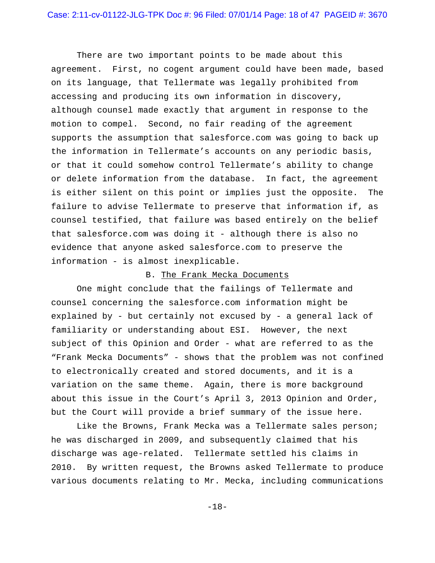There are two important points to be made about this agreement. First, no cogent argument could have been made, based on its language, that Tellermate was legally prohibited from accessing and producing its own information in discovery, although counsel made exactly that argument in response to the motion to compel. Second, no fair reading of the agreement supports the assumption that salesforce.com was going to back up the information in Tellermate's accounts on any periodic basis, or that it could somehow control Tellermate's ability to change or delete information from the database. In fact, the agreement is either silent on this point or implies just the opposite. The failure to advise Tellermate to preserve that information if, as counsel testified, that failure was based entirely on the belief that salesforce.com was doing it - although there is also no evidence that anyone asked salesforce.com to preserve the information - is almost inexplicable.

### B. The Frank Mecka Documents

One might conclude that the failings of Tellermate and counsel concerning the salesforce.com information might be explained by - but certainly not excused by - a general lack of familiarity or understanding about ESI. However, the next subject of this Opinion and Order - what are referred to as the "Frank Mecka Documents" - shows that the problem was not confined to electronically created and stored documents, and it is a variation on the same theme. Again, there is more background about this issue in the Court's April 3, 2013 Opinion and Order, but the Court will provide a brief summary of the issue here.

Like the Browns, Frank Mecka was a Tellermate sales person; he was discharged in 2009, and subsequently claimed that his discharge was age-related. Tellermate settled his claims in 2010. By written request, the Browns asked Tellermate to produce various documents relating to Mr. Mecka, including communications

-18-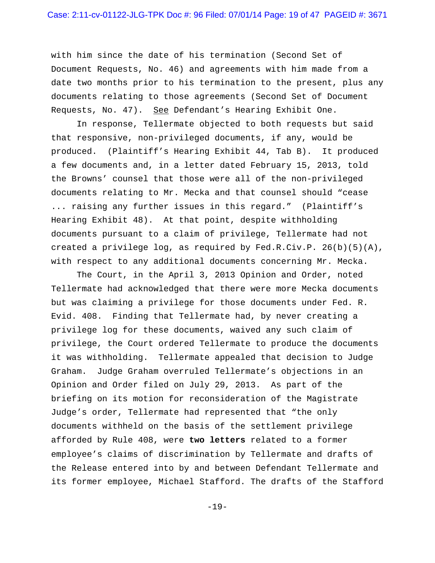with him since the date of his termination (Second Set of Document Requests, No. 46) and agreements with him made from a date two months prior to his termination to the present, plus any documents relating to those agreements (Second Set of Document Requests, No. 47). See Defendant's Hearing Exhibit One.

In response, Tellermate objected to both requests but said that responsive, non-privileged documents, if any, would be produced. (Plaintiff's Hearing Exhibit 44, Tab B). It produced a few documents and, in a letter dated February 15, 2013, told the Browns' counsel that those were all of the non-privileged documents relating to Mr. Mecka and that counsel should "cease ... raising any further issues in this regard." (Plaintiff's Hearing Exhibit 48). At that point, despite withholding documents pursuant to a claim of privilege, Tellermate had not created a privilege log, as required by  $Fed.R.Civ.P. 26(b)(5)(A)$ , with respect to any additional documents concerning Mr. Mecka.

The Court, in the April 3, 2013 Opinion and Order, noted Tellermate had acknowledged that there were more Mecka documents but was claiming a privilege for those documents under Fed. R. Evid. 408. Finding that Tellermate had, by never creating a privilege log for these documents, waived any such claim of privilege, the Court ordered Tellermate to produce the documents it was withholding. Tellermate appealed that decision to Judge Graham. Judge Graham overruled Tellermate's objections in an Opinion and Order filed on July 29, 2013. As part of the briefing on its motion for reconsideration of the Magistrate Judge's order, Tellermate had represented that "the only documents withheld on the basis of the settlement privilege afforded by Rule 408, were **two letters** related to a former employee's claims of discrimination by Tellermate and drafts of the Release entered into by and between Defendant Tellermate and its former employee, Michael Stafford. The drafts of the Stafford

-19-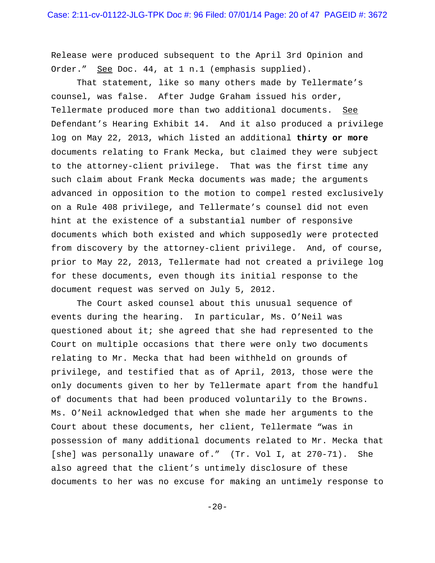Release were produced subsequent to the April 3rd Opinion and Order." See Doc. 44, at 1 n.1 (emphasis supplied).

That statement, like so many others made by Tellermate's counsel, was false. After Judge Graham issued his order, Tellermate produced more than two additional documents. See Defendant's Hearing Exhibit 14. And it also produced a privilege log on May 22, 2013, which listed an additional **thirty or more** documents relating to Frank Mecka, but claimed they were subject to the attorney-client privilege. That was the first time any such claim about Frank Mecka documents was made; the arguments advanced in opposition to the motion to compel rested exclusively on a Rule 408 privilege, and Tellermate's counsel did not even hint at the existence of a substantial number of responsive documents which both existed and which supposedly were protected from discovery by the attorney-client privilege. And, of course, prior to May 22, 2013, Tellermate had not created a privilege log for these documents, even though its initial response to the document request was served on July 5, 2012.

The Court asked counsel about this unusual sequence of events during the hearing. In particular, Ms. O'Neil was questioned about it; she agreed that she had represented to the Court on multiple occasions that there were only two documents relating to Mr. Mecka that had been withheld on grounds of privilege, and testified that as of April, 2013, those were the only documents given to her by Tellermate apart from the handful of documents that had been produced voluntarily to the Browns. Ms. O'Neil acknowledged that when she made her arguments to the Court about these documents, her client, Tellermate "was in possession of many additional documents related to Mr. Mecka that [she] was personally unaware of." (Tr. Vol I, at 270-71). She also agreed that the client's untimely disclosure of these documents to her was no excuse for making an untimely response to

 $-20-$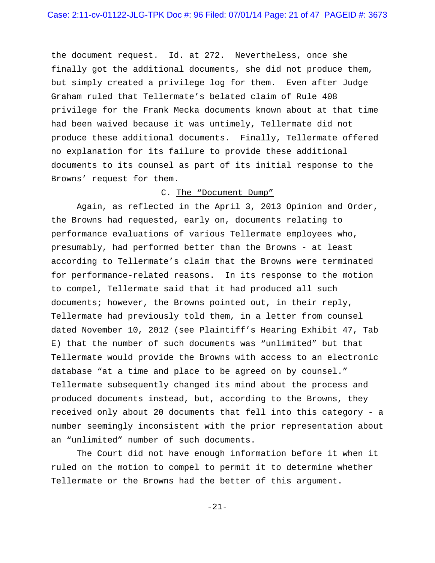the document request. Id. at 272. Nevertheless, once she finally got the additional documents, she did not produce them, but simply created a privilege log for them. Even after Judge Graham ruled that Tellermate's belated claim of Rule 408 privilege for the Frank Mecka documents known about at that time had been waived because it was untimely, Tellermate did not produce these additional documents. Finally, Tellermate offered no explanation for its failure to provide these additional documents to its counsel as part of its initial response to the Browns' request for them.

#### C. The "Document Dump"

Again, as reflected in the April 3, 2013 Opinion and Order, the Browns had requested, early on, documents relating to performance evaluations of various Tellermate employees who, presumably, had performed better than the Browns - at least according to Tellermate's claim that the Browns were terminated for performance-related reasons. In its response to the motion to compel, Tellermate said that it had produced all such documents; however, the Browns pointed out, in their reply, Tellermate had previously told them, in a letter from counsel dated November 10, 2012 (see Plaintiff's Hearing Exhibit 47, Tab E) that the number of such documents was "unlimited" but that Tellermate would provide the Browns with access to an electronic database "at a time and place to be agreed on by counsel." Tellermate subsequently changed its mind about the process and produced documents instead, but, according to the Browns, they received only about 20 documents that fell into this category - a number seemingly inconsistent with the prior representation about an "unlimited" number of such documents.

The Court did not have enough information before it when it ruled on the motion to compel to permit it to determine whether Tellermate or the Browns had the better of this argument.

-21-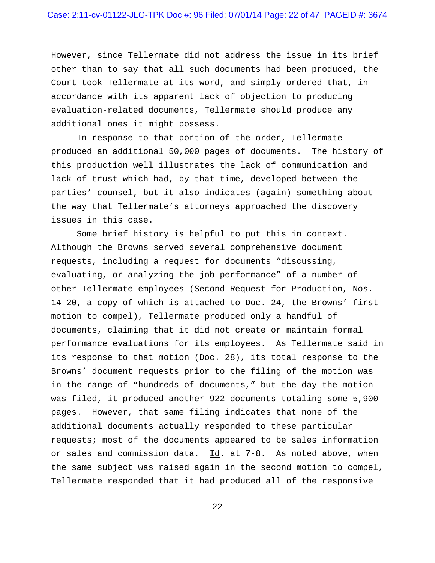However, since Tellermate did not address the issue in its brief other than to say that all such documents had been produced, the Court took Tellermate at its word, and simply ordered that, in accordance with its apparent lack of objection to producing evaluation-related documents, Tellermate should produce any additional ones it might possess.

In response to that portion of the order, Tellermate produced an additional 50,000 pages of documents. The history of this production well illustrates the lack of communication and lack of trust which had, by that time, developed between the parties' counsel, but it also indicates (again) something about the way that Tellermate's attorneys approached the discovery issues in this case.

Some brief history is helpful to put this in context. Although the Browns served several comprehensive document requests, including a request for documents "discussing, evaluating, or analyzing the job performance" of a number of other Tellermate employees (Second Request for Production, Nos. 14-20, a copy of which is attached to Doc. 24, the Browns' first motion to compel), Tellermate produced only a handful of documents, claiming that it did not create or maintain formal performance evaluations for its employees. As Tellermate said in its response to that motion (Doc. 28), its total response to the Browns' document requests prior to the filing of the motion was in the range of "hundreds of documents," but the day the motion was filed, it produced another 922 documents totaling some 5,900 pages. However, that same filing indicates that none of the additional documents actually responded to these particular requests; most of the documents appeared to be sales information or sales and commission data. Id. at 7-8. As noted above, when the same subject was raised again in the second motion to compel, Tellermate responded that it had produced all of the responsive

-22-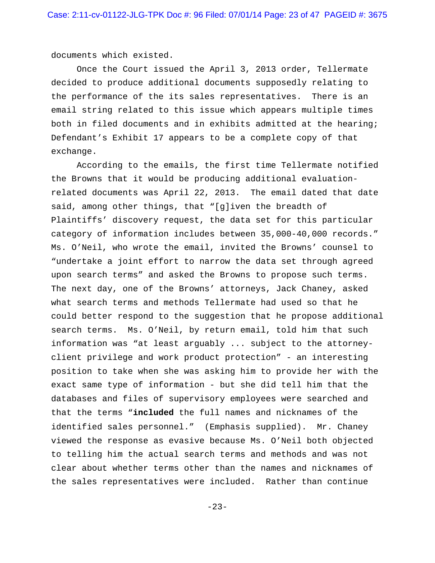documents which existed.

Once the Court issued the April 3, 2013 order, Tellermate decided to produce additional documents supposedly relating to the performance of the its sales representatives. There is an email string related to this issue which appears multiple times both in filed documents and in exhibits admitted at the hearing; Defendant's Exhibit 17 appears to be a complete copy of that exchange.

According to the emails, the first time Tellermate notified the Browns that it would be producing additional evaluationrelated documents was April 22, 2013. The email dated that date said, among other things, that "[g]iven the breadth of Plaintiffs' discovery request, the data set for this particular category of information includes between 35,000-40,000 records." Ms. O'Neil, who wrote the email, invited the Browns' counsel to "undertake a joint effort to narrow the data set through agreed upon search terms" and asked the Browns to propose such terms. The next day, one of the Browns' attorneys, Jack Chaney, asked what search terms and methods Tellermate had used so that he could better respond to the suggestion that he propose additional search terms. Ms. O'Neil, by return email, told him that such information was "at least arguably ... subject to the attorneyclient privilege and work product protection" - an interesting position to take when she was asking him to provide her with the exact same type of information - but she did tell him that the databases and files of supervisory employees were searched and that the terms "**included** the full names and nicknames of the identified sales personnel." (Emphasis supplied). Mr. Chaney viewed the response as evasive because Ms. O'Neil both objected to telling him the actual search terms and methods and was not clear about whether terms other than the names and nicknames of the sales representatives were included. Rather than continue

-23-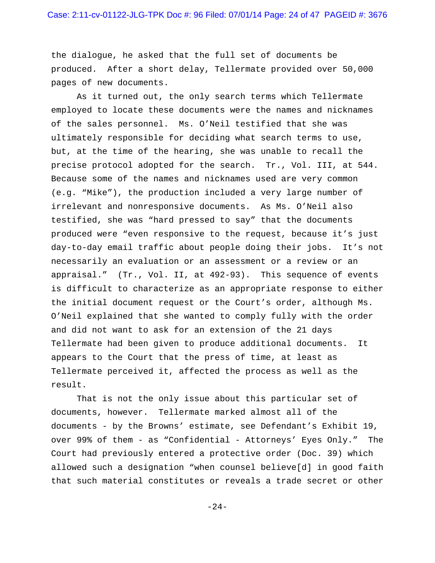the dialogue, he asked that the full set of documents be produced. After a short delay, Tellermate provided over 50,000 pages of new documents.

As it turned out, the only search terms which Tellermate employed to locate these documents were the names and nicknames of the sales personnel. Ms. O'Neil testified that she was ultimately responsible for deciding what search terms to use, but, at the time of the hearing, she was unable to recall the precise protocol adopted for the search. Tr., Vol. III, at 544. Because some of the names and nicknames used are very common (e.g. "Mike"), the production included a very large number of irrelevant and nonresponsive documents. As Ms. O'Neil also testified, she was "hard pressed to say" that the documents produced were "even responsive to the request, because it's just day-to-day email traffic about people doing their jobs. It's not necessarily an evaluation or an assessment or a review or an appraisal." (Tr., Vol. II, at 492-93). This sequence of events is difficult to characterize as an appropriate response to either the initial document request or the Court's order, although Ms. O'Neil explained that she wanted to comply fully with the order and did not want to ask for an extension of the 21 days Tellermate had been given to produce additional documents. It appears to the Court that the press of time, at least as Tellermate perceived it, affected the process as well as the result.

That is not the only issue about this particular set of documents, however. Tellermate marked almost all of the documents - by the Browns' estimate, see Defendant's Exhibit 19, over 99% of them - as "Confidential - Attorneys' Eyes Only." The Court had previously entered a protective order (Doc. 39) which allowed such a designation "when counsel believe[d] in good faith that such material constitutes or reveals a trade secret or other

-24-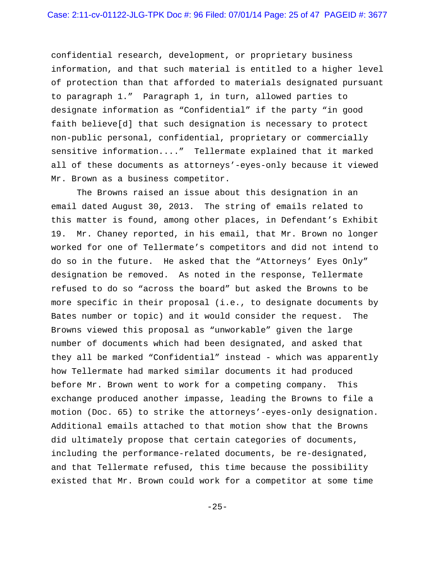confidential research, development, or proprietary business information, and that such material is entitled to a higher level of protection than that afforded to materials designated pursuant to paragraph 1." Paragraph 1, in turn, allowed parties to designate information as "Confidential" if the party "in good faith believe[d] that such designation is necessary to protect non-public personal, confidential, proprietary or commercially sensitive information...." Tellermate explained that it marked all of these documents as attorneys'-eyes-only because it viewed Mr. Brown as a business competitor.

The Browns raised an issue about this designation in an email dated August 30, 2013. The string of emails related to this matter is found, among other places, in Defendant's Exhibit 19. Mr. Chaney reported, in his email, that Mr. Brown no longer worked for one of Tellermate's competitors and did not intend to do so in the future. He asked that the "Attorneys' Eyes Only" designation be removed. As noted in the response, Tellermate refused to do so "across the board" but asked the Browns to be more specific in their proposal (i.e., to designate documents by Bates number or topic) and it would consider the request. The Browns viewed this proposal as "unworkable" given the large number of documents which had been designated, and asked that they all be marked "Confidential" instead - which was apparently how Tellermate had marked similar documents it had produced before Mr. Brown went to work for a competing company. This exchange produced another impasse, leading the Browns to file a motion (Doc. 65) to strike the attorneys'-eyes-only designation. Additional emails attached to that motion show that the Browns did ultimately propose that certain categories of documents, including the performance-related documents, be re-designated, and that Tellermate refused, this time because the possibility existed that Mr. Brown could work for a competitor at some time

-25-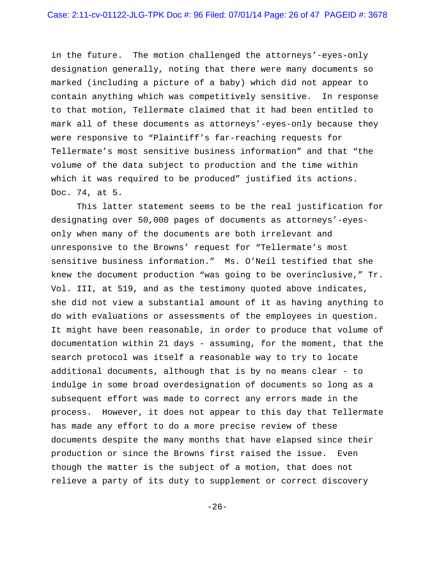in the future. The motion challenged the attorneys'-eyes-only designation generally, noting that there were many documents so marked (including a picture of a baby) which did not appear to contain anything which was competitively sensitive. In response to that motion, Tellermate claimed that it had been entitled to mark all of these documents as attorneys'-eyes-only because they were responsive to "Plaintiff's far-reaching requests for Tellermate's most sensitive business information" and that "the volume of the data subject to production and the time within which it was required to be produced" justified its actions. Doc. 74, at 5.

This latter statement seems to be the real justification for designating over 50,000 pages of documents as attorneys'-eyesonly when many of the documents are both irrelevant and unresponsive to the Browns' request for "Tellermate's most sensitive business information." Ms. O'Neil testified that she knew the document production "was going to be overinclusive," Tr. Vol. III, at 519, and as the testimony quoted above indicates, she did not view a substantial amount of it as having anything to do with evaluations or assessments of the employees in question. It might have been reasonable, in order to produce that volume of documentation within 21 days - assuming, for the moment, that the search protocol was itself a reasonable way to try to locate additional documents, although that is by no means clear - to indulge in some broad overdesignation of documents so long as a subsequent effort was made to correct any errors made in the process. However, it does not appear to this day that Tellermate has made any effort to do a more precise review of these documents despite the many months that have elapsed since their production or since the Browns first raised the issue. Even though the matter is the subject of a motion, that does not relieve a party of its duty to supplement or correct discovery

-26-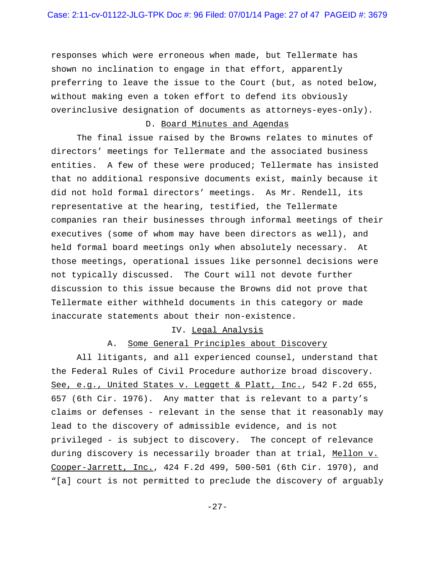responses which were erroneous when made, but Tellermate has shown no inclination to engage in that effort, apparently preferring to leave the issue to the Court (but, as noted below, without making even a token effort to defend its obviously overinclusive designation of documents as attorneys-eyes-only).

#### D. Board Minutes and Agendas

The final issue raised by the Browns relates to minutes of directors' meetings for Tellermate and the associated business entities. A few of these were produced; Tellermate has insisted that no additional responsive documents exist, mainly because it did not hold formal directors' meetings. As Mr. Rendell, its representative at the hearing, testified, the Tellermate companies ran their businesses through informal meetings of their executives (some of whom may have been directors as well), and held formal board meetings only when absolutely necessary. At those meetings, operational issues like personnel decisions were not typically discussed. The Court will not devote further discussion to this issue because the Browns did not prove that Tellermate either withheld documents in this category or made inaccurate statements about their non-existence.

### IV. Legal Analysis

## A. Some General Principles about Discovery

All litigants, and all experienced counsel, understand that the Federal Rules of Civil Procedure authorize broad discovery. See, e.g., United States v. Leggett & Platt, Inc., 542 F.2d 655, 657 (6th Cir. 1976). Any matter that is relevant to a party's claims or defenses - relevant in the sense that it reasonably may lead to the discovery of admissible evidence, and is not privileged - is subject to discovery. The concept of relevance during discovery is necessarily broader than at trial, Mellon v. Cooper-Jarrett, Inc., 424 F.2d 499, 500-501 (6th Cir. 1970), and "[a] court is not permitted to preclude the discovery of arguably

-27-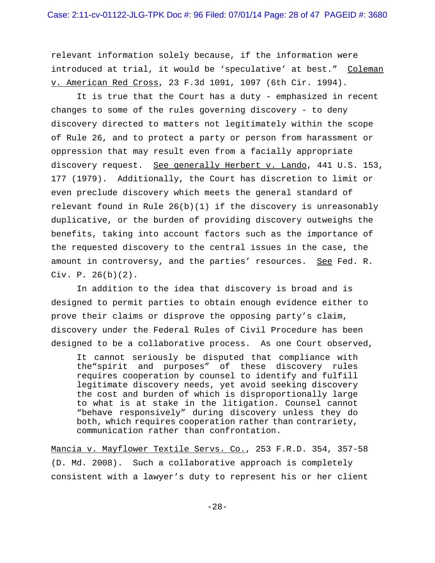relevant information solely because, if the information were introduced at trial, it would be 'speculative' at best." Coleman v. American Red Cross, 23 F.3d 1091, 1097 (6th Cir. 1994).

It is true that the Court has a duty - emphasized in recent changes to some of the rules governing discovery - to deny discovery directed to matters not legitimately within the scope of Rule 26, and to protect a party or person from harassment or oppression that may result even from a facially appropriate discovery request. See generally Herbert v. Lando, 441 U.S. 153, 177 (1979). Additionally, the Court has discretion to limit or even preclude discovery which meets the general standard of relevant found in Rule  $26(b)(1)$  if the discovery is unreasonably duplicative, or the burden of providing discovery outweighs the benefits, taking into account factors such as the importance of the requested discovery to the central issues in the case, the amount in controversy, and the parties' resources. See Fed. R. Civ. P. 26(b)(2).

In addition to the idea that discovery is broad and is designed to permit parties to obtain enough evidence either to prove their claims or disprove the opposing party's claim, discovery under the Federal Rules of Civil Procedure has been designed to be a collaborative process. As one Court observed,

It cannot seriously be disputed that compliance with the"spirit and purposes" of these discovery rules requires cooperation by counsel to identify and fulfill legitimate discovery needs, yet avoid seeking discovery the cost and burden of which is disproportionally large to what is at stake in the litigation. Counsel cannot "behave responsively" during discovery unless they do both, which requires cooperation rather than contrariety, communication rather than confrontation.

Mancia v. Mayflower Textile Servs. Co., 253 F.R.D. 354, 357-58 (D. Md. 2008). Such a collaborative approach is completely consistent with a lawyer's duty to represent his or her client

-28-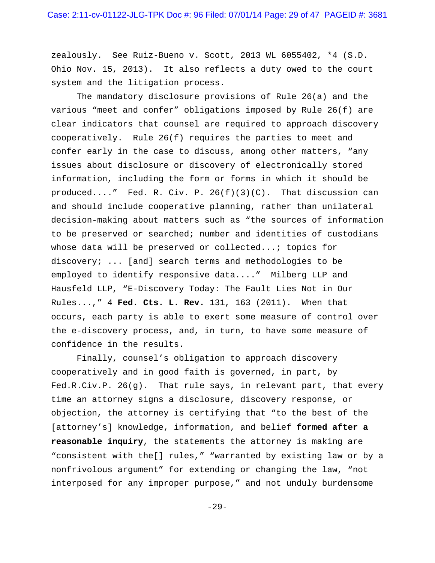zealously. See Ruiz-Bueno v. Scott, 2013 WL 6055402, \*4 (S.D. Ohio Nov. 15, 2013). It also reflects a duty owed to the court system and the litigation process.

The mandatory disclosure provisions of Rule 26(a) and the various "meet and confer" obligations imposed by Rule 26(f) are clear indicators that counsel are required to approach discovery cooperatively. Rule 26(f) requires the parties to meet and confer early in the case to discuss, among other matters, "any issues about disclosure or discovery of electronically stored information, including the form or forms in which it should be produced...." Fed. R. Civ. P.  $26(f)(3)(C)$ . That discussion can and should include cooperative planning, rather than unilateral decision-making about matters such as "the sources of information to be preserved or searched; number and identities of custodians whose data will be preserved or collected...; topics for discovery; ... [and] search terms and methodologies to be employed to identify responsive data...." Milberg LLP and Hausfeld LLP, "E-Discovery Today: The Fault Lies Not in Our Rules...," 4 **Fed. Cts. L. Rev.** 131, 163 (2011). When that occurs, each party is able to exert some measure of control over the e-discovery process, and, in turn, to have some measure of confidence in the results.

Finally, counsel's obligation to approach discovery cooperatively and in good faith is governed, in part, by Fed.R.Civ.P. 26 $(g)$ . That rule says, in relevant part, that every time an attorney signs a disclosure, discovery response, or objection, the attorney is certifying that "to the best of the [attorney's] knowledge, information, and belief **formed after a reasonable inquiry**, the statements the attorney is making are "consistent with the[] rules," "warranted by existing law or by a nonfrivolous argument" for extending or changing the law, "not interposed for any improper purpose," and not unduly burdensome

-29-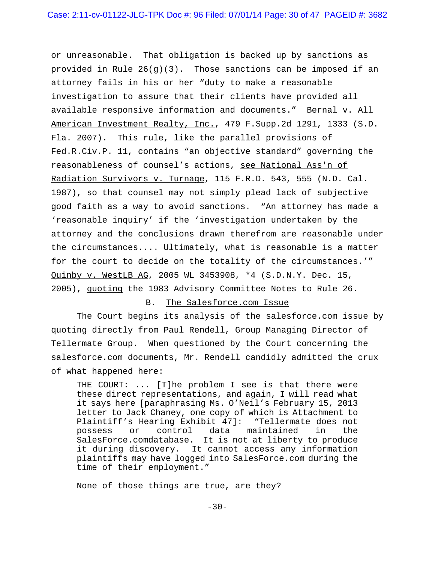or unreasonable. That obligation is backed up by sanctions as provided in Rule 26(g)(3). Those sanctions can be imposed if an attorney fails in his or her "duty to make a reasonable investigation to assure that their clients have provided all available responsive information and documents." Bernal v. All American Investment Realty, Inc., 479 F.Supp.2d 1291, 1333 (S.D. Fla. 2007). This rule, like the parallel provisions of Fed.R.Civ.P. 11, contains "an objective standard" governing the reasonableness of counsel's actions, see National Ass'n of Radiation Survivors v. Turnage, 115 F.R.D. 543, 555 (N.D. Cal. 1987), so that counsel may not simply plead lack of subjective good faith as a way to avoid sanctions. "An attorney has made a 'reasonable inquiry' if the 'investigation undertaken by the attorney and the conclusions drawn therefrom are reasonable under the circumstances.... Ultimately, what is reasonable is a matter for the court to decide on the totality of the circumstances.'" Quinby v. WestLB AG, 2005 WL 3453908, \*4 (S.D.N.Y. Dec. 15, 2005), quoting the 1983 Advisory Committee Notes to Rule 26.

### B. The Salesforce.com Issue

The Court begins its analysis of the salesforce.com issue by quoting directly from Paul Rendell, Group Managing Director of Tellermate Group. When questioned by the Court concerning the salesforce.com documents, Mr. Rendell candidly admitted the crux of what happened here:

THE COURT: ... [T]he problem I see is that there were these direct representations, and again, I will read what it says here [paraphrasing Ms. O'Neil's February 15, 2013 letter to Jack Chaney, one copy of which is Attachment to Plaintiff's Hearing Exhibit 47]: "Tellermate does not possess or control data maintained in the SalesForce.comdatabase. It is not at liberty to produce it during discovery. It cannot access any information plaintiffs may have logged into SalesForce.com during the time of their employment."

None of those things are true, are they?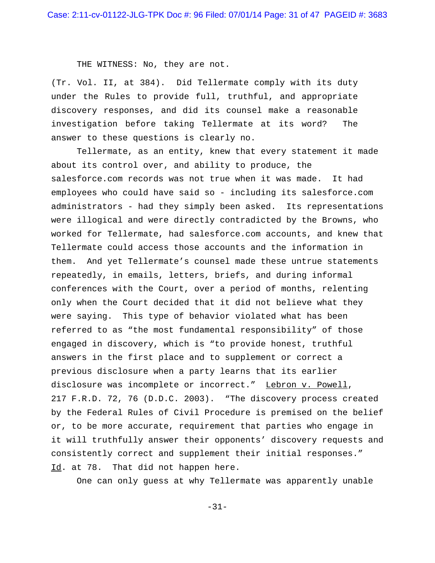THE WITNESS: No, they are not.

(Tr. Vol. II, at 384). Did Tellermate comply with its duty under the Rules to provide full, truthful, and appropriate discovery responses, and did its counsel make a reasonable investigation before taking Tellermate at its word? The answer to these questions is clearly no.

Tellermate, as an entity, knew that every statement it made about its control over, and ability to produce, the salesforce.com records was not true when it was made. It had employees who could have said so - including its salesforce.com administrators - had they simply been asked. Its representations were illogical and were directly contradicted by the Browns, who worked for Tellermate, had salesforce.com accounts, and knew that Tellermate could access those accounts and the information in them. And yet Tellermate's counsel made these untrue statements repeatedly, in emails, letters, briefs, and during informal conferences with the Court, over a period of months, relenting only when the Court decided that it did not believe what they were saying. This type of behavior violated what has been referred to as "the most fundamental responsibility" of those engaged in discovery, which is "to provide honest, truthful answers in the first place and to supplement or correct a previous disclosure when a party learns that its earlier disclosure was incomplete or incorrect." Lebron v. Powell, 217 F.R.D. 72, 76 (D.D.C. 2003). "The discovery process created by the Federal Rules of Civil Procedure is premised on the belief or, to be more accurate, requirement that parties who engage in it will truthfully answer their opponents' discovery requests and consistently correct and supplement their initial responses." Id. at 78. That did not happen here.

One can only guess at why Tellermate was apparently unable

-31-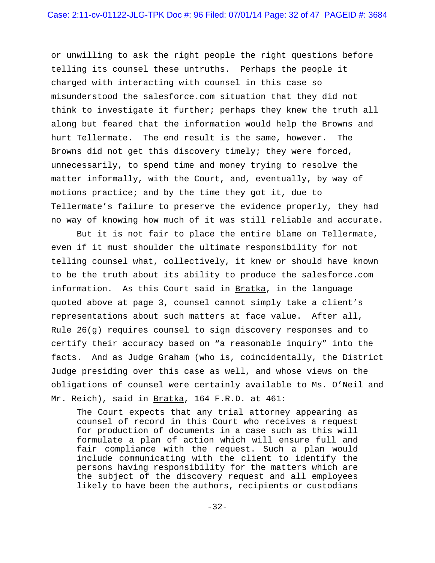or unwilling to ask the right people the right questions before telling its counsel these untruths. Perhaps the people it charged with interacting with counsel in this case so misunderstood the salesforce.com situation that they did not think to investigate it further; perhaps they knew the truth all along but feared that the information would help the Browns and hurt Tellermate. The end result is the same, however. The Browns did not get this discovery timely; they were forced, unnecessarily, to spend time and money trying to resolve the matter informally, with the Court, and, eventually, by way of motions practice; and by the time they got it, due to Tellermate's failure to preserve the evidence properly, they had no way of knowing how much of it was still reliable and accurate.

But it is not fair to place the entire blame on Tellermate, even if it must shoulder the ultimate responsibility for not telling counsel what, collectively, it knew or should have known to be the truth about its ability to produce the salesforce.com information. As this Court said in Bratka, in the language quoted above at page 3, counsel cannot simply take a client's representations about such matters at face value. After all, Rule  $26(q)$  requires counsel to sign discovery responses and to certify their accuracy based on "a reasonable inquiry" into the facts. And as Judge Graham (who is, coincidentally, the District Judge presiding over this case as well, and whose views on the obligations of counsel were certainly available to Ms. O'Neil and Mr. Reich), said in Bratka, 164 F.R.D. at 461:

The Court expects that any trial attorney appearing as counsel of record in this Court who receives a request for production of documents in a case such as this will formulate a plan of action which will ensure full and fair compliance with the request. Such a plan would include communicating with the client to identify the persons having responsibility for the matters which are the subject of the discovery request and all employees likely to have been the authors, recipients or custodians

-32-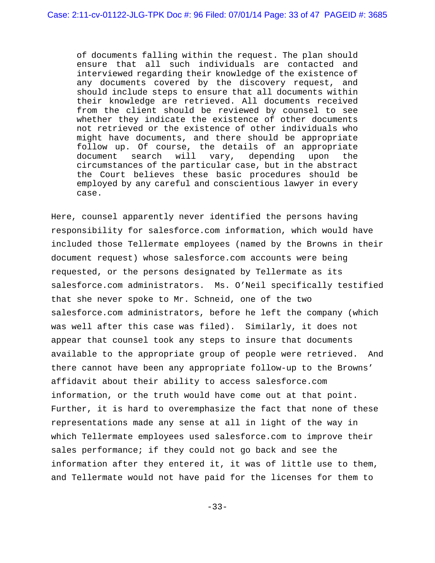of documents falling within the request. The plan should ensure that all such individuals are contacted and interviewed regarding their knowledge of the existence of any documents covered by the discovery request, and should include steps to ensure that all documents within their knowledge are retrieved. All documents received from the client should be reviewed by counsel to see whether they indicate the existence of other documents not retrieved or the existence of other individuals who might have documents, and there should be appropriate follow up. Of course, the details of an appropriate document search will vary, depending upon the circumstances of the particular case, but in the abstract the Court believes these basic procedures should be employed by any careful and conscientious lawyer in every case.

Here, counsel apparently never identified the persons having responsibility for salesforce.com information, which would have included those Tellermate employees (named by the Browns in their document request) whose salesforce.com accounts were being requested, or the persons designated by Tellermate as its salesforce.com administrators. Ms. O'Neil specifically testified that she never spoke to Mr. Schneid, one of the two salesforce.com administrators, before he left the company (which was well after this case was filed). Similarly, it does not appear that counsel took any steps to insure that documents available to the appropriate group of people were retrieved. And there cannot have been any appropriate follow-up to the Browns' affidavit about their ability to access salesforce.com information, or the truth would have come out at that point. Further, it is hard to overemphasize the fact that none of these representations made any sense at all in light of the way in which Tellermate employees used salesforce.com to improve their sales performance; if they could not go back and see the information after they entered it, it was of little use to them, and Tellermate would not have paid for the licenses for them to

-33-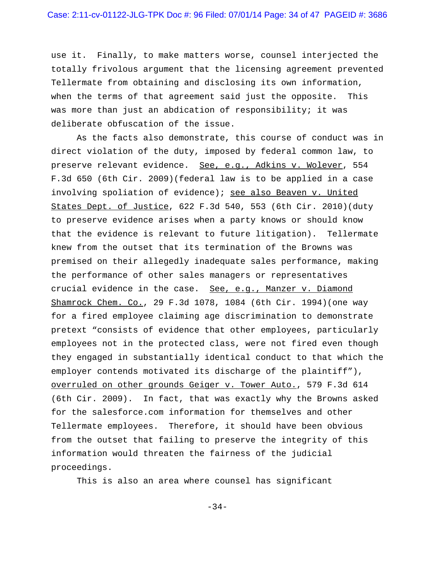use it. Finally, to make matters worse, counsel interjected the totally frivolous argument that the licensing agreement prevented Tellermate from obtaining and disclosing its own information, when the terms of that agreement said just the opposite. This was more than just an abdication of responsibility; it was deliberate obfuscation of the issue.

As the facts also demonstrate, this course of conduct was in direct violation of the duty, imposed by federal common law, to preserve relevant evidence. See, e.g., Adkins v. Wolever, 554 F.3d 650 (6th Cir. 2009)(federal law is to be applied in a case involving spoliation of evidence); see also Beaven v. United States Dept. of Justice, 622 F.3d 540, 553 (6th Cir. 2010)(duty to preserve evidence arises when a party knows or should know that the evidence is relevant to future litigation). Tellermate knew from the outset that its termination of the Browns was premised on their allegedly inadequate sales performance, making the performance of other sales managers or representatives crucial evidence in the case. See, e.g., Manzer v. Diamond Shamrock Chem. Co., 29 F.3d 1078, 1084 (6th Cir. 1994)(one way for a fired employee claiming age discrimination to demonstrate pretext "consists of evidence that other employees, particularly employees not in the protected class, were not fired even though they engaged in substantially identical conduct to that which the employer contends motivated its discharge of the plaintiff"), overruled on other grounds Geiger v. Tower Auto., 579 F.3d 614 (6th Cir. 2009). In fact, that was exactly why the Browns asked for the salesforce.com information for themselves and other Tellermate employees. Therefore, it should have been obvious from the outset that failing to preserve the integrity of this information would threaten the fairness of the judicial proceedings.

This is also an area where counsel has significant

-34-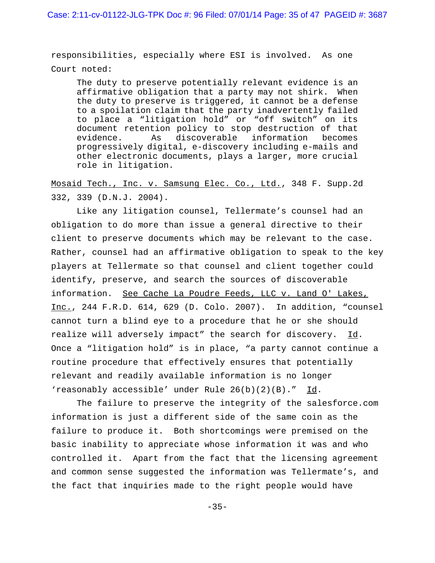#### Case: 2:11-cv-01122-JLG-TPK Doc #: 96 Filed: 07/01/14 Page: 35 of 47 PAGEID #: 3687

responsibilities, especially where ESI is involved. As one Court noted:

The duty to preserve potentially relevant evidence is an affirmative obligation that a party may not shirk. When the duty to preserve is triggered, it cannot be a defense to a spoilation claim that the party inadvertently failed to place a "litigation hold" or "off switch" on its document retention policy to stop destruction of that evidence. As discoverable information becomes progressively digital, e-discovery including e-mails and other electronic documents, plays a larger, more crucial role in litigation.

Mosaid Tech., Inc. v. Samsung Elec. Co., Ltd., 348 F. Supp.2d 332, 339 (D.N.J. 2004).

Like any litigation counsel, Tellermate's counsel had an obligation to do more than issue a general directive to their client to preserve documents which may be relevant to the case. Rather, counsel had an affirmative obligation to speak to the key players at Tellermate so that counsel and client together could identify, preserve, and search the sources of discoverable information. See Cache La Poudre Feeds, LLC v. Land O' Lakes, Inc., 244 F.R.D. 614, 629 (D. Colo. 2007). In addition, "counsel cannot turn a blind eye to a procedure that he or she should realize will adversely impact" the search for discovery. Id. Once a "litigation hold" is in place, "a party cannot continue a routine procedure that effectively ensures that potentially relevant and readily available information is no longer 'reasonably accessible' under Rule 26(b)(2)(B)." Id.

The failure to preserve the integrity of the salesforce.com information is just a different side of the same coin as the failure to produce it. Both shortcomings were premised on the basic inability to appreciate whose information it was and who controlled it. Apart from the fact that the licensing agreement and common sense suggested the information was Tellermate's, and the fact that inquiries made to the right people would have

-35-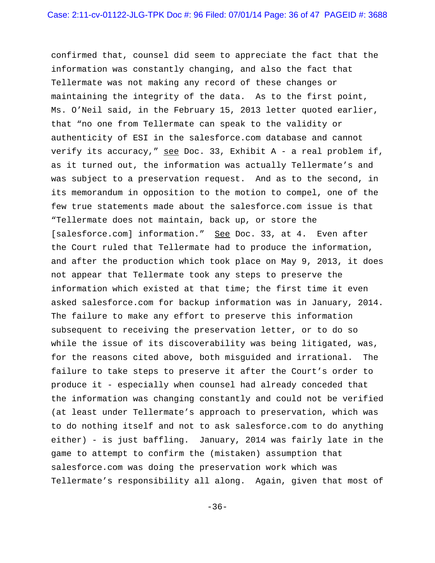confirmed that, counsel did seem to appreciate the fact that the information was constantly changing, and also the fact that Tellermate was not making any record of these changes or maintaining the integrity of the data. As to the first point, Ms. O'Neil said, in the February 15, 2013 letter quoted earlier, that "no one from Tellermate can speak to the validity or authenticity of ESI in the salesforce.com database and cannot verify its accuracy," see Doc. 33, Exhibit  $A - a$  real problem if, as it turned out, the information was actually Tellermate's and was subject to a preservation request. And as to the second, in its memorandum in opposition to the motion to compel, one of the few true statements made about the salesforce.com issue is that "Tellermate does not maintain, back up, or store the [salesforce.com] information." See Doc. 33, at 4. Even after the Court ruled that Tellermate had to produce the information, and after the production which took place on May 9, 2013, it does not appear that Tellermate took any steps to preserve the information which existed at that time; the first time it even asked salesforce.com for backup information was in January, 2014. The failure to make any effort to preserve this information subsequent to receiving the preservation letter, or to do so while the issue of its discoverability was being litigated, was, for the reasons cited above, both misguided and irrational. The failure to take steps to preserve it after the Court's order to produce it - especially when counsel had already conceded that the information was changing constantly and could not be verified (at least under Tellermate's approach to preservation, which was to do nothing itself and not to ask salesforce.com to do anything either) - is just baffling. January, 2014 was fairly late in the game to attempt to confirm the (mistaken) assumption that salesforce.com was doing the preservation work which was Tellermate's responsibility all along. Again, given that most of

-36-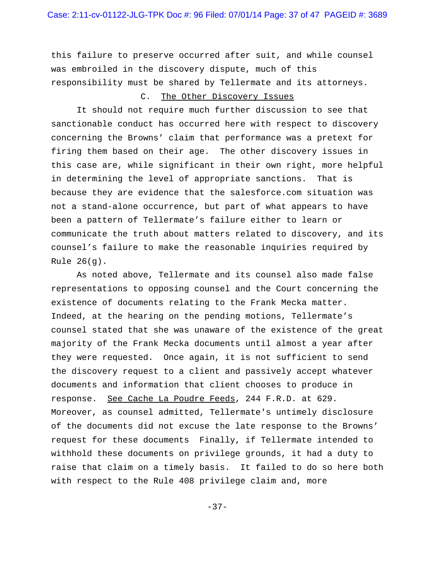this failure to preserve occurred after suit, and while counsel was embroiled in the discovery dispute, much of this responsibility must be shared by Tellermate and its attorneys.

# C. The Other Discovery Issues

It should not require much further discussion to see that sanctionable conduct has occurred here with respect to discovery concerning the Browns' claim that performance was a pretext for firing them based on their age. The other discovery issues in this case are, while significant in their own right, more helpful in determining the level of appropriate sanctions. That is because they are evidence that the salesforce.com situation was not a stand-alone occurrence, but part of what appears to have been a pattern of Tellermate's failure either to learn or communicate the truth about matters related to discovery, and its counsel's failure to make the reasonable inquiries required by Rule 26(g).

As noted above, Tellermate and its counsel also made false representations to opposing counsel and the Court concerning the existence of documents relating to the Frank Mecka matter. Indeed, at the hearing on the pending motions, Tellermate's counsel stated that she was unaware of the existence of the great majority of the Frank Mecka documents until almost a year after they were requested. Once again, it is not sufficient to send the discovery request to a client and passively accept whatever documents and information that client chooses to produce in response. See Cache La Poudre Feeds, 244 F.R.D. at 629. Moreover, as counsel admitted, Tellermate's untimely disclosure of the documents did not excuse the late response to the Browns' request for these documents Finally, if Tellermate intended to withhold these documents on privilege grounds, it had a duty to raise that claim on a timely basis. It failed to do so here both with respect to the Rule 408 privilege claim and, more

-37-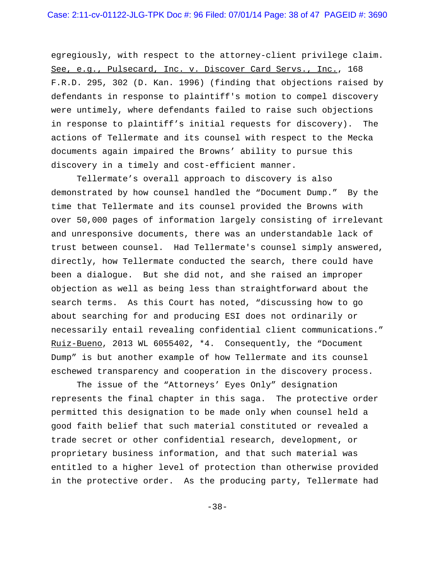egregiously, with respect to the attorney-client privilege claim. See, e.g., Pulsecard, Inc. v. Discover Card Servs., Inc., 168 F.R.D. 295, 302 (D. Kan. 1996) (finding that objections raised by defendants in response to plaintiff's motion to compel discovery were untimely, where defendants failed to raise such objections in response to plaintiff's initial requests for discovery). The actions of Tellermate and its counsel with respect to the Mecka documents again impaired the Browns' ability to pursue this discovery in a timely and cost-efficient manner.

Tellermate's overall approach to discovery is also demonstrated by how counsel handled the "Document Dump." By the time that Tellermate and its counsel provided the Browns with over 50,000 pages of information largely consisting of irrelevant and unresponsive documents, there was an understandable lack of trust between counsel. Had Tellermate's counsel simply answered, directly, how Tellermate conducted the search, there could have been a dialogue. But she did not, and she raised an improper objection as well as being less than straightforward about the search terms. As this Court has noted, "discussing how to go about searching for and producing ESI does not ordinarily or necessarily entail revealing confidential client communications." Ruiz-Bueno, 2013 WL 6055402, \*4. Consequently, the "Document Dump" is but another example of how Tellermate and its counsel eschewed transparency and cooperation in the discovery process.

The issue of the "Attorneys' Eyes Only" designation represents the final chapter in this saga. The protective order permitted this designation to be made only when counsel held a good faith belief that such material constituted or revealed a trade secret or other confidential research, development, or proprietary business information, and that such material was entitled to a higher level of protection than otherwise provided in the protective order. As the producing party, Tellermate had

-38-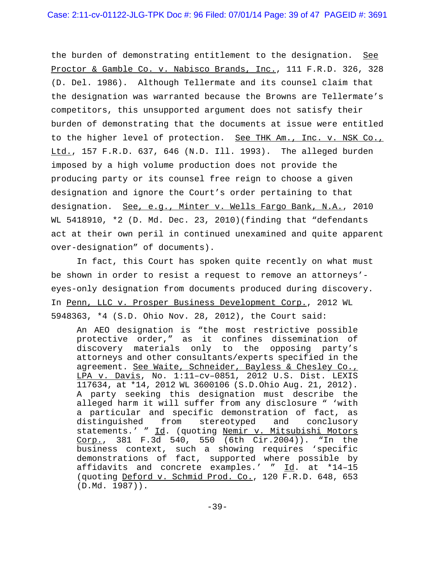the burden of demonstrating entitlement to the designation. See Proctor & Gamble Co. v. Nabisco Brands, Inc., 111 F.R.D. 326, 328 (D. Del. 1986). Although Tellermate and its counsel claim that the designation was warranted because the Browns are Tellermate's competitors, this unsupported argument does not satisfy their burden of demonstrating that the documents at issue were entitled to the higher level of protection. See THK Am., Inc. v. NSK Co., Ltd., 157 F.R.D. 637, 646 (N.D. Ill. 1993). The alleged burden imposed by a high volume production does not provide the producing party or its counsel free reign to choose a given designation and ignore the Court's order pertaining to that designation. See, e.g., Minter v. Wells Fargo Bank, N.A., 2010 WL 5418910, \*2 (D. Md. Dec. 23, 2010)(finding that "defendants act at their own peril in continued unexamined and quite apparent over-designation" of documents).

In fact, this Court has spoken quite recently on what must be shown in order to resist a request to remove an attorneys' eyes-only designation from documents produced during discovery. In Penn, LLC v. Prosper Business Development Corp., 2012 WL 5948363, \*4 (S.D. Ohio Nov. 28, 2012), the Court said:

An AEO designation is "the most restrictive possible protective order," as it confines dissemination of discovery materials only to the opposing party's attorneys and other consultants/experts specified in the agreement. See Waite, Schneider, Bayless & Chesley Co., LPA v. Davis, No. 1:11–cv–0851, 2012 U.S. Dist. LEXIS 117634, at \*14, 2012 WL 3600106 (S.D.Ohio Aug. 21, 2012). A party seeking this designation must describe the alleged harm it will suffer from any disclosure " 'with a particular and specific demonstration of fact, as distinguished from stereotyped and conclusory statements.' " Id. (quoting Nemir v. Mitsubishi Motors Corp., 381 F.3d 540, 550 (6th Cir.2004)). "In the business context, such a showing requires 'specific demonstrations of fact, supported where possible by affidavits and concrete examples.' "  $\underline{Id}$ . at \*14-15 (quoting Deford v. Schmid Prod. Co., 120 F.R.D. 648, 653 (D.Md. 1987)).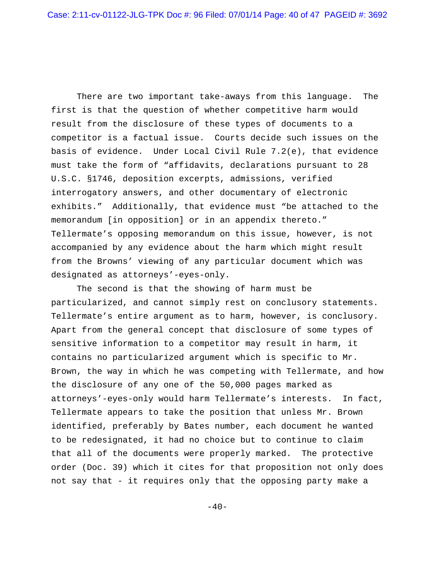There are two important take-aways from this language. The first is that the question of whether competitive harm would result from the disclosure of these types of documents to a competitor is a factual issue. Courts decide such issues on the basis of evidence. Under Local Civil Rule 7.2(e), that evidence must take the form of "affidavits, declarations pursuant to 28 U.S.C. §1746, deposition excerpts, admissions, verified interrogatory answers, and other documentary of electronic exhibits." Additionally, that evidence must "be attached to the memorandum [in opposition] or in an appendix thereto." Tellermate's opposing memorandum on this issue, however, is not accompanied by any evidence about the harm which might result from the Browns' viewing of any particular document which was designated as attorneys'-eyes-only.

The second is that the showing of harm must be particularized, and cannot simply rest on conclusory statements. Tellermate's entire argument as to harm, however, is conclusory. Apart from the general concept that disclosure of some types of sensitive information to a competitor may result in harm, it contains no particularized argument which is specific to Mr. Brown, the way in which he was competing with Tellermate, and how the disclosure of any one of the 50,000 pages marked as attorneys'-eyes-only would harm Tellermate's interests. In fact, Tellermate appears to take the position that unless Mr. Brown identified, preferably by Bates number, each document he wanted to be redesignated, it had no choice but to continue to claim that all of the documents were properly marked. The protective order (Doc. 39) which it cites for that proposition not only does not say that - it requires only that the opposing party make a

 $-40-$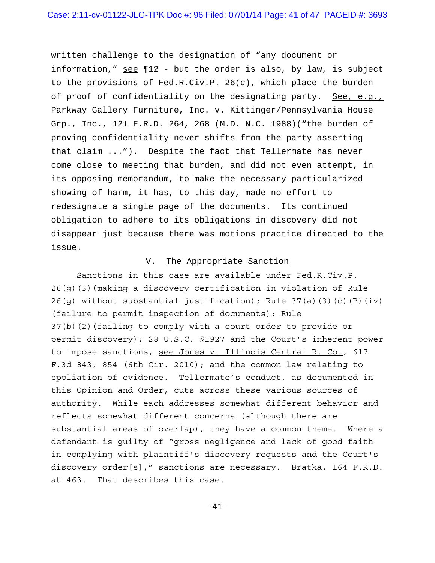written challenge to the designation of "any document or information,"  $\frac{1}{2}$  =  $\frac{1}{2}$  =  $\frac{1}{2}$  but the order is also, by law, is subject to the provisions of Fed.R.Civ.P. 26(c), which place the burden of proof of confidentiality on the designating party. See, e.g., Parkway Gallery Furniture, Inc. v. Kittinger/Pennsylvania House Grp., Inc., 121 F.R.D. 264, 268 (M.D. N.C. 1988) ("the burden of proving confidentiality never shifts from the party asserting that claim ..."). Despite the fact that Tellermate has never come close to meeting that burden, and did not even attempt, in its opposing memorandum, to make the necessary particularized showing of harm, it has, to this day, made no effort to redesignate a single page of the documents. Its continued obligation to adhere to its obligations in discovery did not disappear just because there was motions practice directed to the issue.

### V. The Appropriate Sanction

Sanctions in this case are available under Fed.R.Civ.P. 26(g)(3)(making a discovery certification in violation of Rule 26(g) without substantial justification); Rule 37(a)(3)(c)(B)(iv) (failure to permit inspection of documents); Rule 37(b)(2)(failing to comply with a court order to provide or permit discovery); 28 U.S.C. §1927 and the Court's inherent power to impose sanctions, see Jones v. Illinois Central R. Co., 617 F.3d 843, 854 (6th Cir. 2010); and the common law relating to spoliation of evidence. Tellermate's conduct, as documented in this Opinion and Order, cuts across these various sources of authority. While each addresses somewhat different behavior and reflects somewhat different concerns (although there are substantial areas of overlap), they have a common theme. Where a defendant is guilty of "gross negligence and lack of good faith in complying with plaintiff's discovery requests and the Court's discovery order[s]," sanctions are necessary. Bratka, 164 F.R.D. at 463. That describes this case.

-41-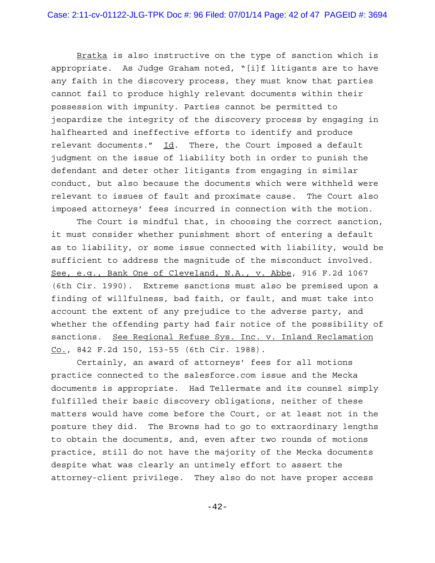Bratka is also instructive on the type of sanction which is appropriate. As Judge Graham noted, "[i]f litigants are to have any faith in the discovery process, they must know that parties cannot fail to produce highly relevant documents within their possession with impunity. Parties cannot be permitted to jeopardize the integrity of the discovery process by engaging in halfhearted and ineffective efforts to identify and produce relevant documents." Id. There, the Court imposed a default judgment on the issue of liability both in order to punish the defendant and deter other litigants from engaging in similar conduct, but also because the documents which were withheld were relevant to issues of fault and proximate cause. The Court also imposed attorneys' fees incurred in connection with the motion.

The Court is mindful that, in choosing the correct sanction, it must consider whether punishment short of entering a default as to liability, or some issue connected with liability, would be sufficient to address the magnitude of the misconduct involved. See, e.g., Bank One of Cleveland, N.A., v. Abbe, 916 F.2d 1067 (6th Cir. 1990). Extreme sanctions must also be premised upon a finding of willfulness, bad faith, or fault, and must take into account the extent of any prejudice to the adverse party, and whether the offending party had fair notice of the possibility of sanctions. See Regional Refuse Sys. Inc. v. Inland Reclamation Co., 842 F.2d 150, 153-55 (6th Cir. 1988).

Certainly, an award of attorneys' fees for all motions practice connected to the salesforce.com issue and the Mecka documents is appropriate. Had Tellermate and its counsel simply fulfilled their basic discovery obligations, neither of these matters would have come before the Court, or at least not in the posture they did. The Browns had to go to extraordinary lengths to obtain the documents, and, even after two rounds of motions practice, still do not have the majority of the Mecka documents despite what was clearly an untimely effort to assert the attorney-client privilege. They also do not have proper access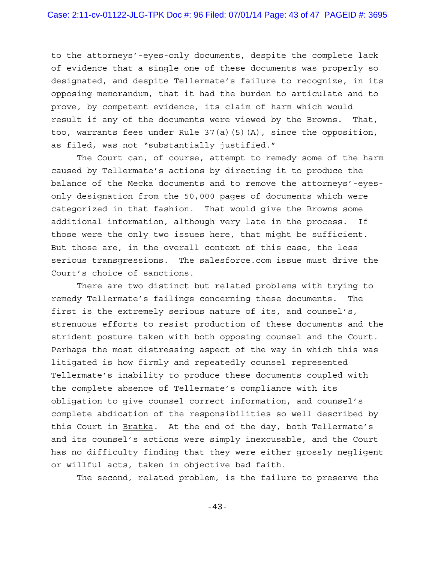to the attorneys'-eyes-only documents, despite the complete lack of evidence that a single one of these documents was properly so designated, and despite Tellermate's failure to recognize, in its opposing memorandum, that it had the burden to articulate and to prove, by competent evidence, its claim of harm which would result if any of the documents were viewed by the Browns. That, too, warrants fees under Rule 37(a)(5)(A), since the opposition, as filed, was not "substantially justified."

The Court can, of course, attempt to remedy some of the harm caused by Tellermate's actions by directing it to produce the balance of the Mecka documents and to remove the attorneys'-eyesonly designation from the 50,000 pages of documents which were categorized in that fashion. That would give the Browns some additional information, although very late in the process. If those were the only two issues here, that might be sufficient. But those are, in the overall context of this case, the less serious transgressions. The salesforce.com issue must drive the Court's choice of sanctions.

There are two distinct but related problems with trying to remedy Tellermate's failings concerning these documents. The first is the extremely serious nature of its, and counsel's, strenuous efforts to resist production of these documents and the strident posture taken with both opposing counsel and the Court. Perhaps the most distressing aspect of the way in which this was litigated is how firmly and repeatedly counsel represented Tellermate's inability to produce these documents coupled with the complete absence of Tellermate's compliance with its obligation to give counsel correct information, and counsel's complete abdication of the responsibilities so well described by this Court in Bratka. At the end of the day, both Tellermate's and its counsel's actions were simply inexcusable, and the Court has no difficulty finding that they were either grossly negligent or willful acts, taken in objective bad faith.

The second, related problem, is the failure to preserve the

-43-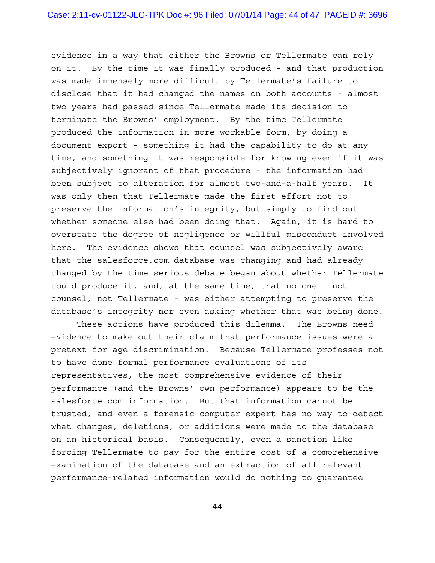evidence in a way that either the Browns or Tellermate can rely on it. By the time it was finally produced - and that production was made immensely more difficult by Tellermate's failure to disclose that it had changed the names on both accounts - almost two years had passed since Tellermate made its decision to terminate the Browns' employment. By the time Tellermate produced the information in more workable form, by doing a document export - something it had the capability to do at any time, and something it was responsible for knowing even if it was subjectively ignorant of that procedure - the information had been subject to alteration for almost two-and-a-half years. It was only then that Tellermate made the first effort not to preserve the information's integrity, but simply to find out whether someone else had been doing that. Again, it is hard to overstate the degree of negligence or willful misconduct involved here. The evidence shows that counsel was subjectively aware that the salesforce.com database was changing and had already changed by the time serious debate began about whether Tellermate could produce it, and, at the same time, that no one - not counsel, not Tellermate - was either attempting to preserve the database's integrity nor even asking whether that was being done.

These actions have produced this dilemma. The Browns need evidence to make out their claim that performance issues were a pretext for age discrimination. Because Tellermate professes not to have done formal performance evaluations of its representatives, the most comprehensive evidence of their performance (and the Browns' own performance) appears to be the salesforce.com information. But that information cannot be trusted, and even a forensic computer expert has no way to detect what changes, deletions, or additions were made to the database on an historical basis. Consequently, even a sanction like forcing Tellermate to pay for the entire cost of a comprehensive examination of the database and an extraction of all relevant performance-related information would do nothing to guarantee

-44-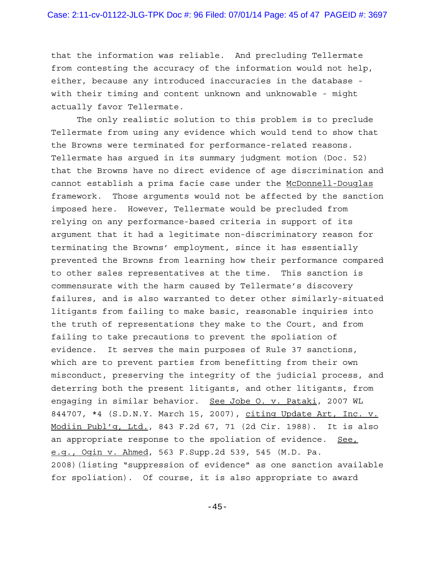that the information was reliable. And precluding Tellermate from contesting the accuracy of the information would not help, either, because any introduced inaccuracies in the database with their timing and content unknown and unknowable - might actually favor Tellermate.

The only realistic solution to this problem is to preclude Tellermate from using any evidence which would tend to show that the Browns were terminated for performance-related reasons. Tellermate has argued in its summary judgment motion (Doc. 52) that the Browns have no direct evidence of age discrimination and cannot establish a prima facie case under the McDonnell-Douglas framework. Those arguments would not be affected by the sanction imposed here. However, Tellermate would be precluded from relying on any performance-based criteria in support of its argument that it had a legitimate non-discriminatory reason for terminating the Browns' employment, since it has essentially prevented the Browns from learning how their performance compared to other sales representatives at the time. This sanction is commensurate with the harm caused by Tellermate's discovery failures, and is also warranted to deter other similarly-situated litigants from failing to make basic, reasonable inquiries into the truth of representations they make to the Court, and from failing to take precautions to prevent the spoliation of evidence. It serves the main purposes of Rule 37 sanctions, which are to prevent parties from benefitting from their own misconduct, preserving the integrity of the judicial process, and deterring both the present litigants, and other litigants, from engaging in similar behavior. See Jobe O. v. Pataki, 2007 WL 844707, \*4 (S.D.N.Y. March 15, 2007), citing Update Art, Inc. v. Modiin Publ'g, Ltd., 843 F.2d 67, 71 (2d Cir. 1988). It is also an appropriate response to the spoliation of evidence. See, e.g., Ogin v. Ahmed, 563 F.Supp.2d 539, 545 (M.D. Pa. 2008)(listing "suppression of evidence" as one sanction available for spoliation). Of course, it is also appropriate to award

 $-45-$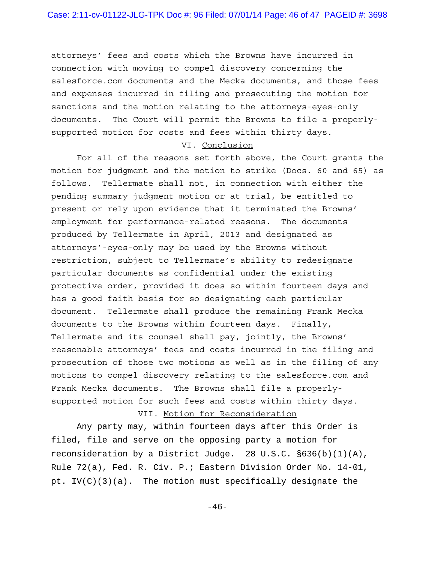attorneys' fees and costs which the Browns have incurred in connection with moving to compel discovery concerning the salesforce.com documents and the Mecka documents, and those fees and expenses incurred in filing and prosecuting the motion for sanctions and the motion relating to the attorneys-eyes-only documents. The Court will permit the Browns to file a properlysupported motion for costs and fees within thirty days.

### VI. Conclusion

For all of the reasons set forth above, the Court grants the motion for judgment and the motion to strike (Docs. 60 and 65) as follows. Tellermate shall not, in connection with either the pending summary judgment motion or at trial, be entitled to present or rely upon evidence that it terminated the Browns' employment for performance-related reasons. The documents produced by Tellermate in April, 2013 and designated as attorneys'-eyes-only may be used by the Browns without restriction, subject to Tellermate's ability to redesignate particular documents as confidential under the existing protective order, provided it does so within fourteen days and has a good faith basis for so designating each particular document. Tellermate shall produce the remaining Frank Mecka documents to the Browns within fourteen days. Finally, Tellermate and its counsel shall pay, jointly, the Browns' reasonable attorneys' fees and costs incurred in the filing and prosecution of those two motions as well as in the filing of any motions to compel discovery relating to the salesforce.com and Frank Mecka documents. The Browns shall file a properlysupported motion for such fees and costs within thirty days.

#### VII. Motion for Reconsideration

Any party may, within fourteen days after this Order is filed, file and serve on the opposing party a motion for reconsideration by a District Judge. 28 U.S.C. §636(b)(1)(A), Rule 72(a), Fed. R. Civ. P.; Eastern Division Order No. 14-01, pt.  $IV(C)(3)(a)$ . The motion must specifically designate the

-46-